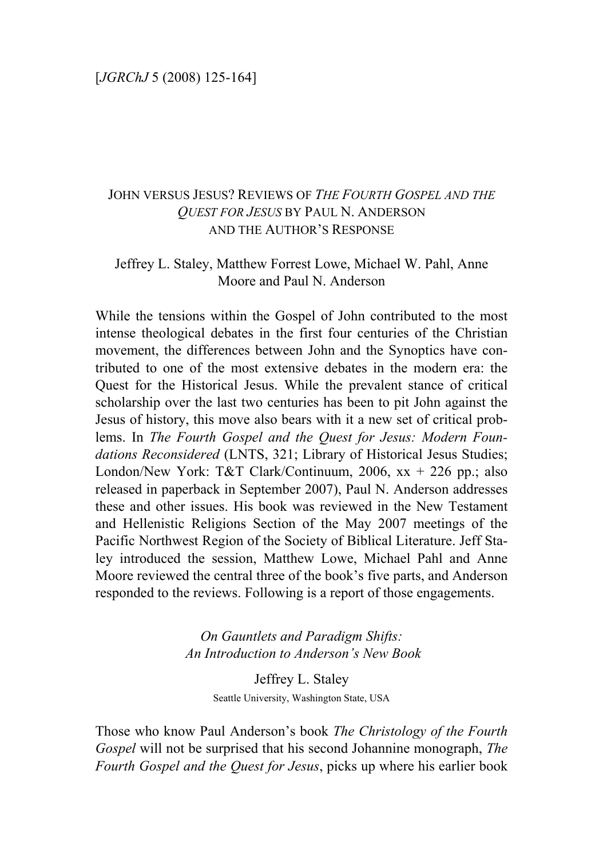# JOHN VERSUS JESUS? REVIEWS OF *THE FOURTH GOSPEL AND THE QUEST FOR JESUS* BY PAUL N. ANDERSON AND THE AUTHOR'S RESPONSE

## Jeffrey L. Staley, Matthew Forrest Lowe, Michael W. Pahl, Anne Moore and Paul N. Anderson

While the tensions within the Gospel of John contributed to the most intense theological debates in the first four centuries of the Christian movement, the differences between John and the Synoptics have contributed to one of the most extensive debates in the modern era: the Quest for the Historical Jesus. While the prevalent stance of critical scholarship over the last two centuries has been to pit John against the Jesus of history, this move also bears with it a new set of critical problems. In *The Fourth Gospel and the Quest for Jesus: Modern Foundations Reconsidered* (LNTS, 321; Library of Historical Jesus Studies; London/New York: T&T Clark/Continuum, 2006,  $xx + 226$  pp.; also released in paperback in September 2007), Paul N. Anderson addresses these and other issues. His book was reviewed in the New Testament and Hellenistic Religions Section of the May 2007 meetings of the Pacific Northwest Region of the Society of Biblical Literature. Jeff Staley introduced the session, Matthew Lowe, Michael Pahl and Anne Moore reviewed the central three of the book's five parts, and Anderson responded to the reviews. Following is a report of those engagements.

> *On Gauntlets and Paradigm Shifts: An Introduction to Anderson's New Book*

> > Jeffrey L. Staley Seattle University, Washington State, USA

Those who know Paul Anderson's book *The Christology of the Fourth Gospel* will not be surprised that his second Johannine monograph, *The Fourth Gospel and the Quest for Jesus*, picks up where his earlier book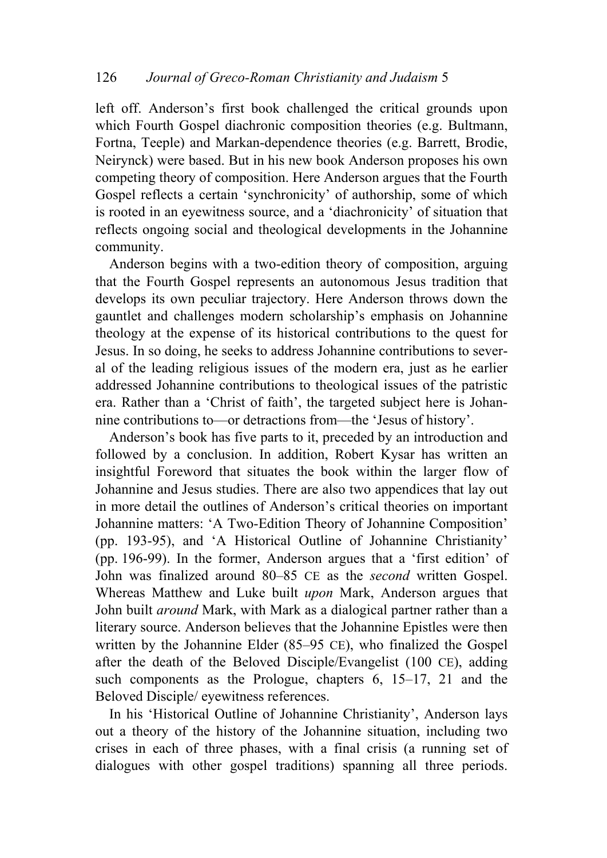left off. Anderson's first book challenged the critical grounds upon which Fourth Gospel diachronic composition theories (e.g. Bultmann, Fortna, Teeple) and Markan-dependence theories (e.g. Barrett, Brodie, Neirynck) were based. But in his new book Anderson proposes his own competing theory of composition. Here Anderson argues that the Fourth Gospel reflects a certain 'synchronicity' of authorship, some of which is rooted in an eyewitness source, and a 'diachronicity' of situation that reflects ongoing social and theological developments in the Johannine community.

Anderson begins with a two-edition theory of composition, arguing that the Fourth Gospel represents an autonomous Jesus tradition that develops its own peculiar trajectory. Here Anderson throws down the gauntlet and challenges modern scholarship's emphasis on Johannine theology at the expense of its historical contributions to the quest for Jesus. In so doing, he seeks to address Johannine contributions to several of the leading religious issues of the modern era, just as he earlier addressed Johannine contributions to theological issues of the patristic era. Rather than a 'Christ of faith', the targeted subject here is Johannine contributions to—or detractions from—the 'Jesus of history'.

Anderson's book has five parts to it, preceded by an introduction and followed by a conclusion. In addition, Robert Kysar has written an insightful Foreword that situates the book within the larger flow of Johannine and Jesus studies. There are also two appendices that lay out in more detail the outlines of Anderson's critical theories on important Johannine matters: 'A Two-Edition Theory of Johannine Composition' (pp. 193-95), and 'A Historical Outline of Johannine Christianity' (pp. 196-99). In the former, Anderson argues that a 'first edition' of John was finalized around 80–85 CE as the *second* written Gospel. Whereas Matthew and Luke built *upon* Mark, Anderson argues that John built *around* Mark, with Mark as a dialogical partner rather than a literary source. Anderson believes that the Johannine Epistles were then written by the Johannine Elder (85–95 CE), who finalized the Gospel after the death of the Beloved Disciple/Evangelist (100 CE), adding such components as the Prologue, chapters 6, 15–17, 21 and the Beloved Disciple/ eyewitness references.

In his 'Historical Outline of Johannine Christianity', Anderson lays out a theory of the history of the Johannine situation, including two crises in each of three phases, with a final crisis (a running set of dialogues with other gospel traditions) spanning all three periods.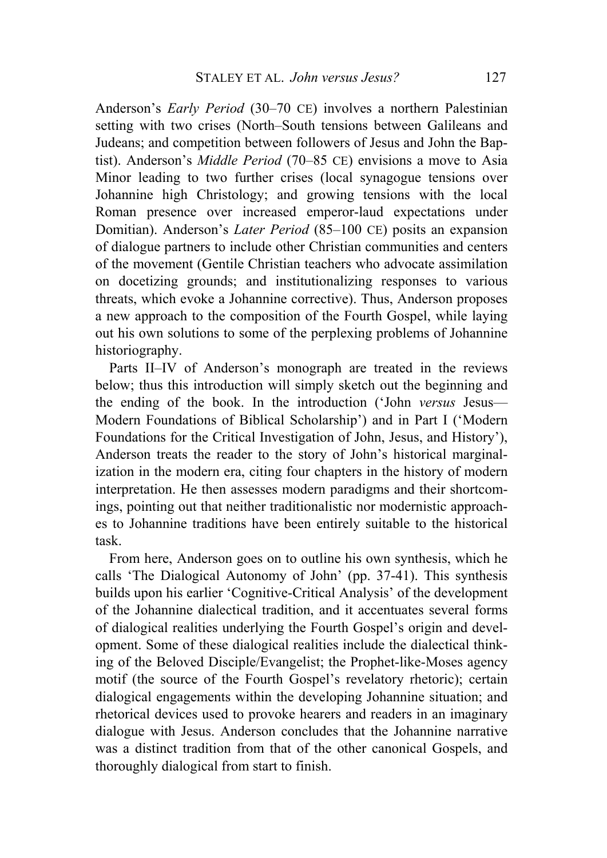Anderson's *Early Period* (30–70 CE) involves a northern Palestinian setting with two crises (North–South tensions between Galileans and Judeans; and competition between followers of Jesus and John the Baptist). Anderson's *Middle Period* (70–85 CE) envisions a move to Asia Minor leading to two further crises (local synagogue tensions over Johannine high Christology; and growing tensions with the local Roman presence over increased emperor-laud expectations under Domitian). Anderson's *Later Period* (85–100 CE) posits an expansion of dialogue partners to include other Christian communities and centers of the movement (Gentile Christian teachers who advocate assimilation on docetizing grounds; and institutionalizing responses to various threats, which evoke a Johannine corrective). Thus, Anderson proposes a new approach to the composition of the Fourth Gospel, while laying out his own solutions to some of the perplexing problems of Johannine historiography.

Parts II–IV of Anderson's monograph are treated in the reviews below; thus this introduction will simply sketch out the beginning and the ending of the book. In the introduction ('John *versus* Jesus— Modern Foundations of Biblical Scholarship') and in Part I ('Modern Foundations for the Critical Investigation of John, Jesus, and History'), Anderson treats the reader to the story of John's historical marginalization in the modern era, citing four chapters in the history of modern interpretation. He then assesses modern paradigms and their shortcomings, pointing out that neither traditionalistic nor modernistic approaches to Johannine traditions have been entirely suitable to the historical task.

From here, Anderson goes on to outline his own synthesis, which he calls 'The Dialogical Autonomy of John' (pp. 37-41). This synthesis builds upon his earlier 'Cognitive-Critical Analysis' of the development of the Johannine dialectical tradition, and it accentuates several forms of dialogical realities underlying the Fourth Gospel's origin and development. Some of these dialogical realities include the dialectical thinking of the Beloved Disciple/Evangelist; the Prophet-like-Moses agency motif (the source of the Fourth Gospel's revelatory rhetoric); certain dialogical engagements within the developing Johannine situation; and rhetorical devices used to provoke hearers and readers in an imaginary dialogue with Jesus. Anderson concludes that the Johannine narrative was a distinct tradition from that of the other canonical Gospels, and thoroughly dialogical from start to finish.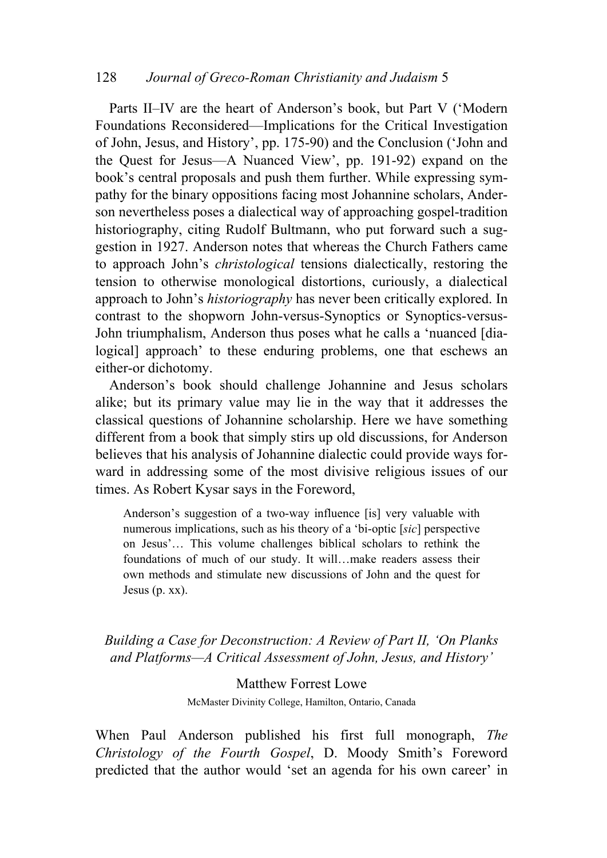### 128 *Journal of Greco-Roman Christianity and Judaism* 5

Parts II–IV are the heart of Anderson's book, but Part V ('Modern Foundations Reconsidered—Implications for the Critical Investigation of John, Jesus, and History', pp. 175-90) and the Conclusion ('John and the Quest for Jesus—A Nuanced View', pp. 191-92) expand on the book's central proposals and push them further. While expressing sympathy for the binary oppositions facing most Johannine scholars, Anderson nevertheless poses a dialectical way of approaching gospel-tradition historiography, citing Rudolf Bultmann, who put forward such a suggestion in 1927. Anderson notes that whereas the Church Fathers came to approach John's *christological* tensions dialectically, restoring the tension to otherwise monological distortions, curiously, a dialectical approach to John's *historiography* has never been critically explored. In contrast to the shopworn John-versus-Synoptics or Synoptics-versus-John triumphalism, Anderson thus poses what he calls a 'nuanced [dialogical] approach' to these enduring problems, one that eschews an either-or dichotomy.

Anderson's book should challenge Johannine and Jesus scholars alike; but its primary value may lie in the way that it addresses the classical questions of Johannine scholarship. Here we have something different from a book that simply stirs up old discussions, for Anderson believes that his analysis of Johannine dialectic could provide ways forward in addressing some of the most divisive religious issues of our times. As Robert Kysar says in the Foreword,

Anderson's suggestion of a two-way influence [is] very valuable with numerous implications, such as his theory of a 'bi-optic [*sic*] perspective on Jesus'… This volume challenges biblical scholars to rethink the foundations of much of our study. It will…make readers assess their own methods and stimulate new discussions of John and the quest for Jesus (p. xx).

*Building a Case for Deconstruction: A Review of Part II, 'On Planks and Platforms—A Critical Assessment of John, Jesus, and History'* 

> Matthew Forrest Lowe McMaster Divinity College, Hamilton, Ontario, Canada

When Paul Anderson published his first full monograph, *The Christology of the Fourth Gospel*, D. Moody Smith's Foreword predicted that the author would 'set an agenda for his own career' in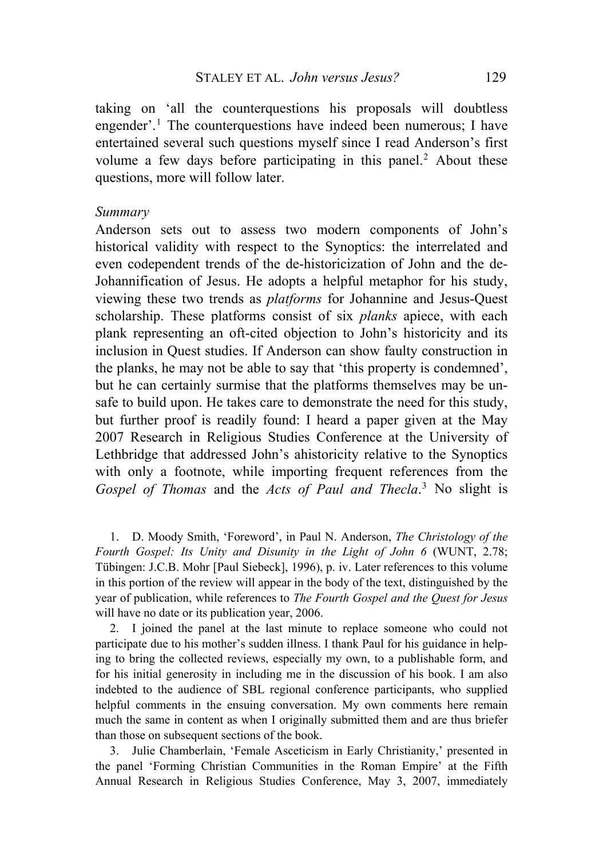taking on 'all the counterquestions his proposals will doubtless engender'.<sup>[1](#page-4-0)</sup> The counterquestions have indeed been numerous; I have entertained several such questions myself since I read Anderson's first volume a few days before participating in this panel.<sup>[2](#page-4-1)</sup> About these questions, more will follow later.

#### *Summary*

Anderson sets out to assess two modern components of John's historical validity with respect to the Synoptics: the interrelated and even codependent trends of the de-historicization of John and the de-Johannification of Jesus. He adopts a helpful metaphor for his study, viewing these two trends as *platforms* for Johannine and Jesus-Quest scholarship. These platforms consist of six *planks* apiece, with each plank representing an oft-cited objection to John's historicity and its inclusion in Quest studies. If Anderson can show faulty construction in the planks, he may not be able to say that 'this property is condemned', but he can certainly surmise that the platforms themselves may be unsafe to build upon. He takes care to demonstrate the need for this study, but further proof is readily found: I heard a paper given at the May 2007 Research in Religious Studies Conference at the University of Lethbridge that addressed John's ahistoricity relative to the Synoptics with only a footnote, while importing frequent references from the *Gospel of Thomas* and the *Acts of Paul and Thecla*. [3](#page-4-2) No slight is

<span id="page-4-0"></span>1. D. Moody Smith, 'Foreword', in Paul N. Anderson, *The Christology of the Fourth Gospel: Its Unity and Disunity in the Light of John 6* (WUNT, 2.78; Tübingen: J.C.B. Mohr [Paul Siebeck], 1996), p. iv. Later references to this volume in this portion of the review will appear in the body of the text, distinguished by the year of publication, while references to *The Fourth Gospel and the Quest for Jesus*  will have no date or its publication year, 2006.

<span id="page-4-1"></span>2. I joined the panel at the last minute to replace someone who could not participate due to his mother's sudden illness. I thank Paul for his guidance in helping to bring the collected reviews, especially my own, to a publishable form, and for his initial generosity in including me in the discussion of his book. I am also indebted to the audience of SBL regional conference participants, who supplied helpful comments in the ensuing conversation. My own comments here remain much the same in content as when I originally submitted them and are thus briefer than those on subsequent sections of the book.

<span id="page-4-2"></span>3. Julie Chamberlain, 'Female Asceticism in Early Christianity,' presented in the panel 'Forming Christian Communities in the Roman Empire' at the Fifth Annual Research in Religious Studies Conference, May 3, 2007, immediately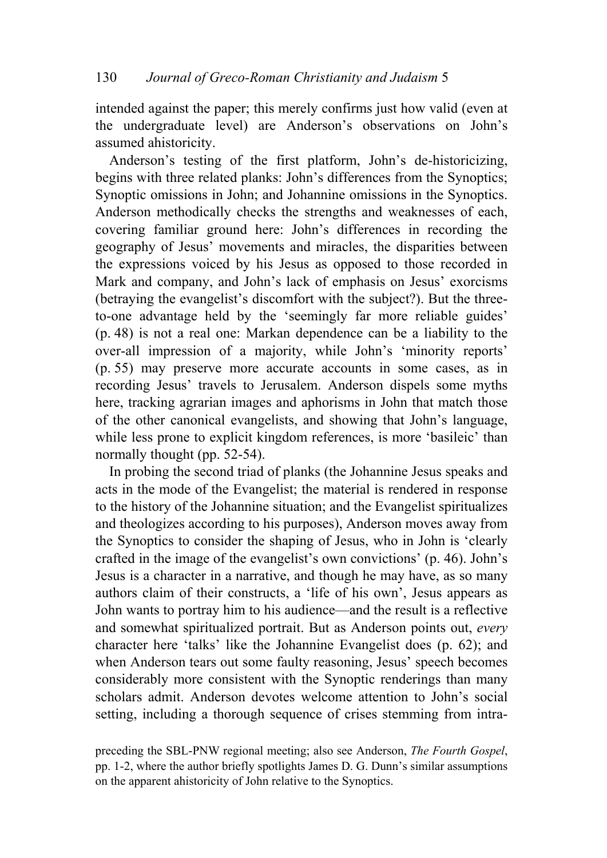intended against the paper; this merely confirms just how valid (even at the undergraduate level) are Anderson's observations on John's assumed ahistoricity.

Anderson's testing of the first platform, John's de-historicizing, begins with three related planks: John's differences from the Synoptics; Synoptic omissions in John; and Johannine omissions in the Synoptics. Anderson methodically checks the strengths and weaknesses of each, covering familiar ground here: John's differences in recording the geography of Jesus' movements and miracles, the disparities between the expressions voiced by his Jesus as opposed to those recorded in Mark and company, and John's lack of emphasis on Jesus' exorcisms (betraying the evangelist's discomfort with the subject?). But the threeto-one advantage held by the 'seemingly far more reliable guides' (p. 48) is not a real one: Markan dependence can be a liability to the over-all impression of a majority, while John's 'minority reports' (p. 55) may preserve more accurate accounts in some cases, as in recording Jesus' travels to Jerusalem. Anderson dispels some myths here, tracking agrarian images and aphorisms in John that match those of the other canonical evangelists, and showing that John's language, while less prone to explicit kingdom references, is more 'basileic' than normally thought (pp. 52-54).

In probing the second triad of planks (the Johannine Jesus speaks and acts in the mode of the Evangelist; the material is rendered in response to the history of the Johannine situation; and the Evangelist spiritualizes and theologizes according to his purposes), Anderson moves away from the Synoptics to consider the shaping of Jesus, who in John is 'clearly crafted in the image of the evangelist's own convictions' (p. 46). John's Jesus is a character in a narrative, and though he may have, as so many authors claim of their constructs, a 'life of his own', Jesus appears as John wants to portray him to his audience—and the result is a reflective and somewhat spiritualized portrait. But as Anderson points out, *every* character here 'talks' like the Johannine Evangelist does (p. 62); and when Anderson tears out some faulty reasoning, Jesus' speech becomes considerably more consistent with the Synoptic renderings than many scholars admit. Anderson devotes welcome attention to John's social setting, including a thorough sequence of crises stemming from intra-

preceding the SBL-PNW regional meeting; also see Anderson, *The Fourth Gospel*, pp. 1-2, where the author briefly spotlights James D. G. Dunn's similar assumptions on the apparent ahistoricity of John relative to the Synoptics.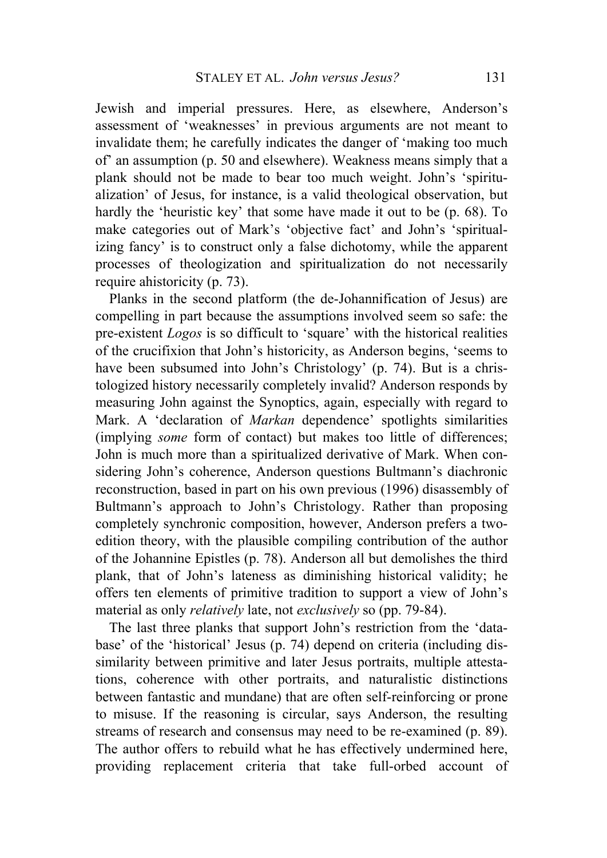Jewish and imperial pressures. Here, as elsewhere, Anderson's assessment of 'weaknesses' in previous arguments are not meant to invalidate them; he carefully indicates the danger of 'making too much of' an assumption (p. 50 and elsewhere). Weakness means simply that a plank should not be made to bear too much weight. John's 'spiritualization' of Jesus, for instance, is a valid theological observation, but hardly the 'heuristic key' that some have made it out to be (p. 68). To make categories out of Mark's 'objective fact' and John's 'spiritualizing fancy' is to construct only a false dichotomy, while the apparent processes of theologization and spiritualization do not necessarily require ahistoricity (p. 73).

Planks in the second platform (the de-Johannification of Jesus) are compelling in part because the assumptions involved seem so safe: the pre-existent *Logos* is so difficult to 'square' with the historical realities of the crucifixion that John's historicity, as Anderson begins, 'seems to have been subsumed into John's Christology' (p. 74). But is a christologized history necessarily completely invalid? Anderson responds by measuring John against the Synoptics, again, especially with regard to Mark. A 'declaration of *Markan* dependence' spotlights similarities (implying *some* form of contact) but makes too little of differences; John is much more than a spiritualized derivative of Mark. When considering John's coherence, Anderson questions Bultmann's diachronic reconstruction, based in part on his own previous (1996) disassembly of Bultmann's approach to John's Christology. Rather than proposing completely synchronic composition, however, Anderson prefers a twoedition theory, with the plausible compiling contribution of the author of the Johannine Epistles (p. 78). Anderson all but demolishes the third plank, that of John's lateness as diminishing historical validity; he offers ten elements of primitive tradition to support a view of John's material as only *relatively* late, not *exclusively* so (pp. 79-84).

The last three planks that support John's restriction from the 'database' of the 'historical' Jesus (p. 74) depend on criteria (including dissimilarity between primitive and later Jesus portraits, multiple attestations, coherence with other portraits, and naturalistic distinctions between fantastic and mundane) that are often self-reinforcing or prone to misuse. If the reasoning is circular, says Anderson, the resulting streams of research and consensus may need to be re-examined (p. 89). The author offers to rebuild what he has effectively undermined here, providing replacement criteria that take full-orbed account of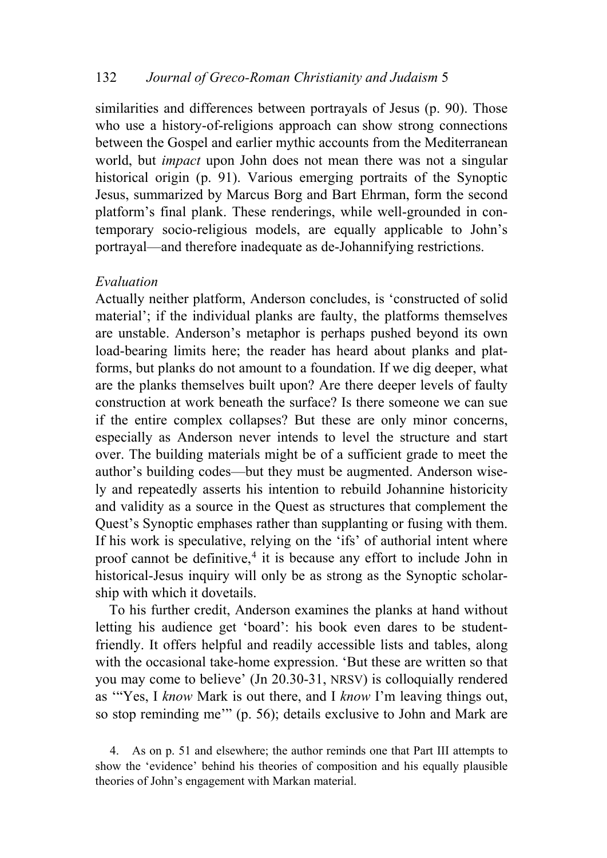similarities and differences between portrayals of Jesus (p. 90). Those who use a history-of-religions approach can show strong connections between the Gospel and earlier mythic accounts from the Mediterranean world, but *impact* upon John does not mean there was not a singular historical origin (p. 91). Various emerging portraits of the Synoptic Jesus, summarized by Marcus Borg and Bart Ehrman, form the second platform's final plank. These renderings, while well-grounded in contemporary socio-religious models, are equally applicable to John's portrayal—and therefore inadequate as de-Johannifying restrictions.

### *Evaluation*

Actually neither platform, Anderson concludes, is 'constructed of solid material'; if the individual planks are faulty, the platforms themselves are unstable. Anderson's metaphor is perhaps pushed beyond its own load-bearing limits here; the reader has heard about planks and platforms, but planks do not amount to a foundation. If we dig deeper, what are the planks themselves built upon? Are there deeper levels of faulty construction at work beneath the surface? Is there someone we can sue if the entire complex collapses? But these are only minor concerns, especially as Anderson never intends to level the structure and start over. The building materials might be of a sufficient grade to meet the author's building codes—but they must be augmented. Anderson wisely and repeatedly asserts his intention to rebuild Johannine historicity and validity as a source in the Quest as structures that complement the Quest's Synoptic emphases rather than supplanting or fusing with them. If his work is speculative, relying on the 'ifs' of authorial intent where proof cannot be definitive, $4$  it is because any effort to include John in historical-Jesus inquiry will only be as strong as the Synoptic scholarship with which it dovetails.

To his further credit, Anderson examines the planks at hand without letting his audience get 'board': his book even dares to be studentfriendly. It offers helpful and readily accessible lists and tables, along with the occasional take-home expression. 'But these are written so that you may come to believe' (Jn 20.30-31, NRSV) is colloquially rendered as '"Yes, I *know* Mark is out there, and I *know* I'm leaving things out, so stop reminding me'" (p. 56); details exclusive to John and Mark are

<span id="page-7-0"></span><sup>4.</sup> As on p. 51 and elsewhere; the author reminds one that Part III attempts to show the 'evidence' behind his theories of composition and his equally plausible theories of John's engagement with Markan material.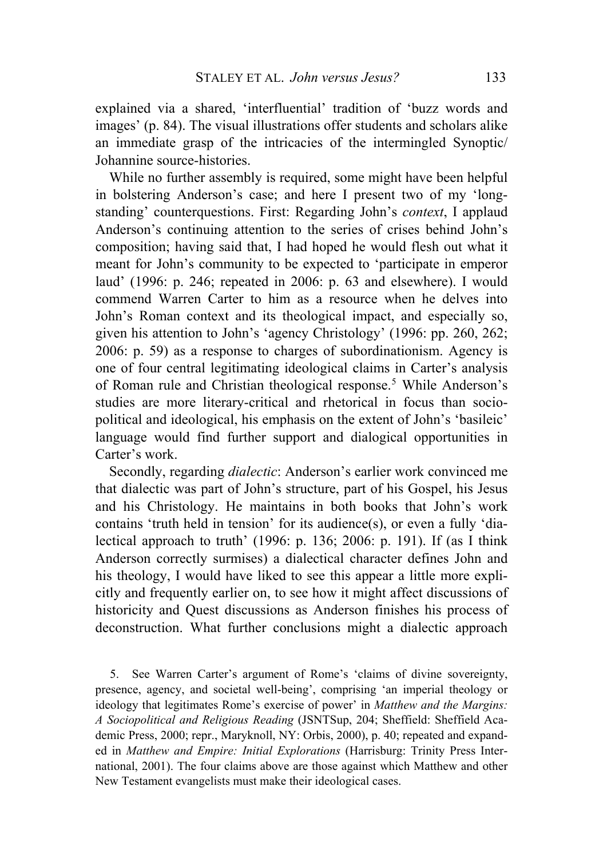explained via a shared, 'interfluential' tradition of 'buzz words and images' (p. 84). The visual illustrations offer students and scholars alike an immediate grasp of the intricacies of the intermingled Synoptic/ Johannine source-histories.

While no further assembly is required, some might have been helpful in bolstering Anderson's case; and here I present two of my 'longstanding' counterquestions. First: Regarding John's *context*, I applaud Anderson's continuing attention to the series of crises behind John's composition; having said that, I had hoped he would flesh out what it meant for John's community to be expected to 'participate in emperor laud' (1996: p. 246; repeated in 2006: p. 63 and elsewhere). I would commend Warren Carter to him as a resource when he delves into John's Roman context and its theological impact, and especially so, given his attention to John's 'agency Christology' (1996: pp. 260, 262; 2006: p. 59) as a response to charges of subordinationism. Agency is one of four central legitimating ideological claims in Carter's analysis of Roman rule and Christian theological response.<sup>[5](#page-8-0)</sup> While Anderson's studies are more literary-critical and rhetorical in focus than sociopolitical and ideological, his emphasis on the extent of John's 'basileic' language would find further support and dialogical opportunities in Carter's work.

Secondly, regarding *dialectic*: Anderson's earlier work convinced me that dialectic was part of John's structure, part of his Gospel, his Jesus and his Christology. He maintains in both books that John's work contains 'truth held in tension' for its audience(s), or even a fully 'dialectical approach to truth' (1996: p. 136; 2006: p. 191). If (as I think Anderson correctly surmises) a dialectical character defines John and his theology, I would have liked to see this appear a little more explicitly and frequently earlier on, to see how it might affect discussions of historicity and Quest discussions as Anderson finishes his process of deconstruction. What further conclusions might a dialectic approach

<span id="page-8-0"></span>5. See Warren Carter's argument of Rome's 'claims of divine sovereignty, presence, agency, and societal well-being', comprising 'an imperial theology or ideology that legitimates Rome's exercise of power' in *Matthew and the Margins: A Sociopolitical and Religious Reading* (JSNTSup, 204; Sheffield: Sheffield Academic Press, 2000; repr., Maryknoll, NY: Orbis, 2000), p. 40; repeated and expanded in *Matthew and Empire: Initial Explorations* (Harrisburg: Trinity Press International, 2001). The four claims above are those against which Matthew and other New Testament evangelists must make their ideological cases.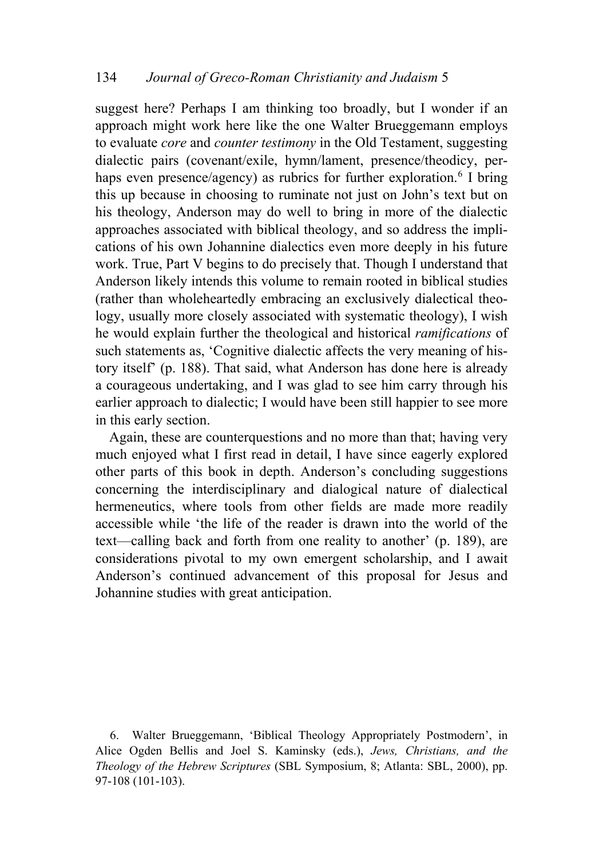suggest here? Perhaps I am thinking too broadly, but I wonder if an approach might work here like the one Walter Brueggemann employs to evaluate *core* and *counter testimony* in the Old Testament, suggesting dialectic pairs (covenant/exile, hymn/lament, presence/theodicy, per-haps even presence/agency) as rubrics for further exploration.<sup>[6](#page-9-0)</sup> I bring this up because in choosing to ruminate not just on John's text but on his theology, Anderson may do well to bring in more of the dialectic approaches associated with biblical theology, and so address the implications of his own Johannine dialectics even more deeply in his future work. True, Part V begins to do precisely that. Though I understand that Anderson likely intends this volume to remain rooted in biblical studies (rather than wholeheartedly embracing an exclusively dialectical theology, usually more closely associated with systematic theology), I wish he would explain further the theological and historical *ramifications* of such statements as, 'Cognitive dialectic affects the very meaning of history itself' (p. 188). That said, what Anderson has done here is already a courageous undertaking, and I was glad to see him carry through his earlier approach to dialectic; I would have been still happier to see more in this early section.

Again, these are counterquestions and no more than that; having very much enjoyed what I first read in detail, I have since eagerly explored other parts of this book in depth. Anderson's concluding suggestions concerning the interdisciplinary and dialogical nature of dialectical hermeneutics, where tools from other fields are made more readily accessible while 'the life of the reader is drawn into the world of the text—calling back and forth from one reality to another' (p. 189), are considerations pivotal to my own emergent scholarship, and I await Anderson's continued advancement of this proposal for Jesus and Johannine studies with great anticipation.

<span id="page-9-0"></span>6. Walter Brueggemann, 'Biblical Theology Appropriately Postmodern', in Alice Ogden Bellis and Joel S. Kaminsky (eds.), *Jews, Christians, and the Theology of the Hebrew Scriptures* (SBL Symposium, 8; Atlanta: SBL, 2000), pp. 97-108 (101-103).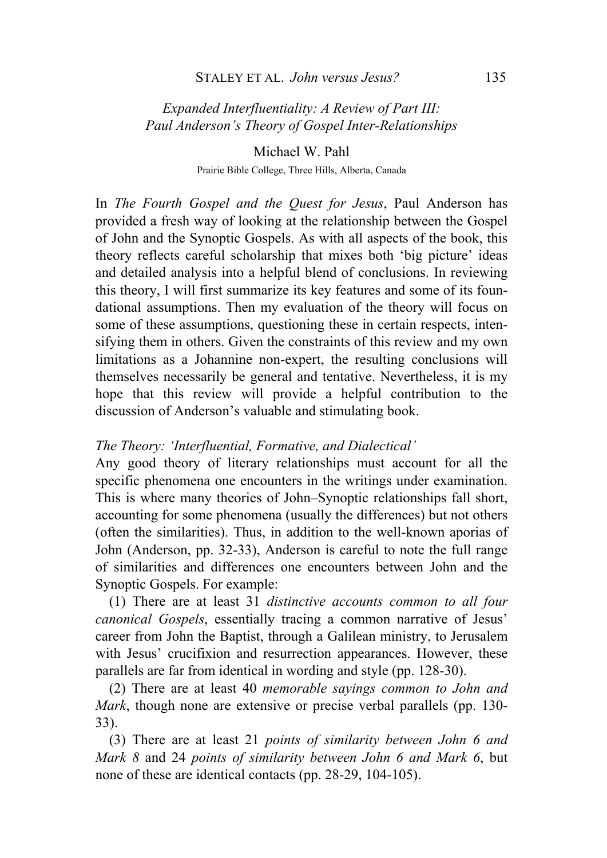## *Expanded Interfluentiality: A Review of Part III: Paul Anderson's Theory of Gospel Inter-Relationships*

Michael W. Pahl Prairie Bible College, Three Hills, Alberta, Canada

In *The Fourth Gospel and the Quest for Jesus*, Paul Anderson has provided a fresh way of looking at the relationship between the Gospel of John and the Synoptic Gospels. As with all aspects of the book, this theory reflects careful scholarship that mixes both 'big picture' ideas and detailed analysis into a helpful blend of conclusions. In reviewing this theory, I will first summarize its key features and some of its foundational assumptions. Then my evaluation of the theory will focus on some of these assumptions, questioning these in certain respects, intensifying them in others. Given the constraints of this review and my own limitations as a Johannine non-expert, the resulting conclusions will themselves necessarily be general and tentative. Nevertheless, it is my hope that this review will provide a helpful contribution to the discussion of Anderson's valuable and stimulating book.

### *The Theory: 'Interfluential, Formative, and Dialectical'*

Any good theory of literary relationships must account for all the specific phenomena one encounters in the writings under examination. This is where many theories of John–Synoptic relationships fall short, accounting for some phenomena (usually the differences) but not others (often the similarities). Thus, in addition to the well-known aporias of John (Anderson, pp. 32-33), Anderson is careful to note the full range of similarities and differences one encounters between John and the Synoptic Gospels. For example:

(1) There are at least 31 *distinctive accounts common to all four canonical Gospels*, essentially tracing a common narrative of Jesus' career from John the Baptist, through a Galilean ministry, to Jerusalem with Jesus' crucifixion and resurrection appearances. However, these parallels are far from identical in wording and style (pp. 128-30).

(2) There are at least 40 *memorable sayings common to John and Mark*, though none are extensive or precise verbal parallels (pp. 130- 33).

(3) There are at least 21 *points of similarity between John 6 and Mark 8* and 24 *points of similarity between John 6 and Mark 6*, but none of these are identical contacts (pp. 28-29, 104-105).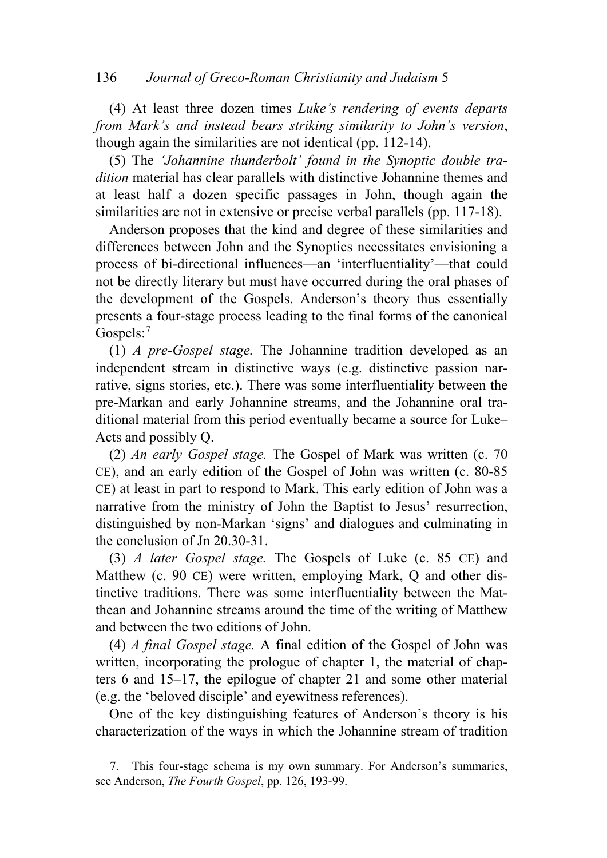### 136 *Journal of Greco-Roman Christianity and Judaism* 5

(4) At least three dozen times *Luke's rendering of events departs from Mark's and instead bears striking similarity to John's version*, though again the similarities are not identical (pp. 112-14).

(5) The *'Johannine thunderbolt' found in the Synoptic double tradition* material has clear parallels with distinctive Johannine themes and at least half a dozen specific passages in John, though again the similarities are not in extensive or precise verbal parallels (pp. 117-18).

Anderson proposes that the kind and degree of these similarities and differences between John and the Synoptics necessitates envisioning a process of bi-directional influences—an 'interfluentiality'—that could not be directly literary but must have occurred during the oral phases of the development of the Gospels. Anderson's theory thus essentially presents a four-stage process leading to the final forms of the canonical Gospels:<sup>[7](#page-11-0)</sup>

(1) *A pre-Gospel stage.* The Johannine tradition developed as an independent stream in distinctive ways (e.g. distinctive passion narrative, signs stories, etc.). There was some interfluentiality between the pre-Markan and early Johannine streams, and the Johannine oral traditional material from this period eventually became a source for Luke– Acts and possibly Q.

(2) *An early Gospel stage.* The Gospel of Mark was written (c. 70 CE), and an early edition of the Gospel of John was written (c. 80-85 CE) at least in part to respond to Mark. This early edition of John was a narrative from the ministry of John the Baptist to Jesus' resurrection, distinguished by non-Markan 'signs' and dialogues and culminating in the conclusion of Jn 20.30-31.

(3) *A later Gospel stage.* The Gospels of Luke (c. 85 CE) and Matthew (c. 90 CE) were written, employing Mark, Q and other distinctive traditions. There was some interfluentiality between the Matthean and Johannine streams around the time of the writing of Matthew and between the two editions of John.

(4) *A final Gospel stage.* A final edition of the Gospel of John was written, incorporating the prologue of chapter 1, the material of chapters 6 and 15–17, the epilogue of chapter 21 and some other material (e.g. the 'beloved disciple' and eyewitness references).

One of the key distinguishing features of Anderson's theory is his characterization of the ways in which the Johannine stream of tradition

<span id="page-11-0"></span><sup>7.</sup> This four-stage schema is my own summary. For Anderson's summaries, see Anderson, *The Fourth Gospel*, pp. 126, 193-99.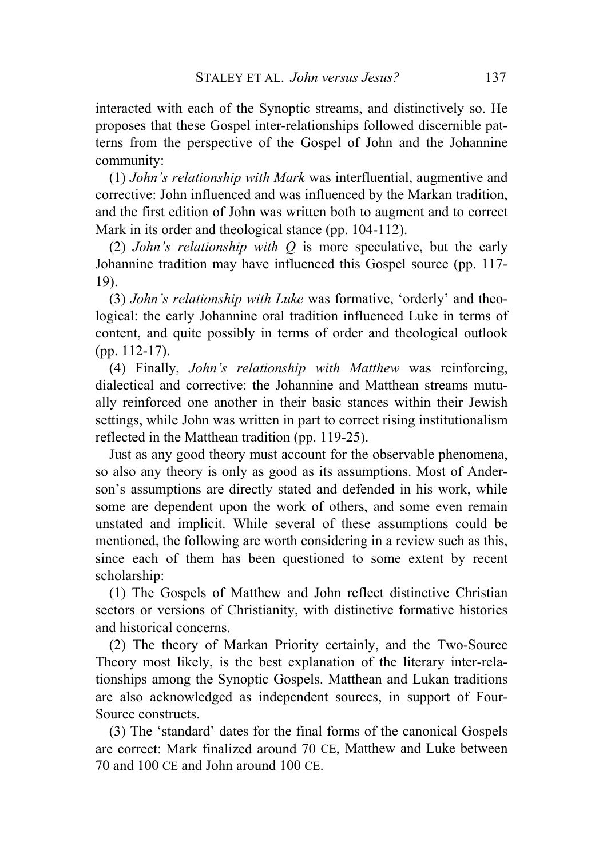interacted with each of the Synoptic streams, and distinctively so. He proposes that these Gospel inter-relationships followed discernible patterns from the perspective of the Gospel of John and the Johannine community:

(1) *John's relationship with Mark* was interfluential, augmentive and corrective: John influenced and was influenced by the Markan tradition, and the first edition of John was written both to augment and to correct Mark in its order and theological stance (pp. 104-112).

(2) *John's relationship with Q* is more speculative, but the early Johannine tradition may have influenced this Gospel source (pp. 117- 19).

(3) *John's relationship with Luke* was formative, 'orderly' and theological: the early Johannine oral tradition influenced Luke in terms of content, and quite possibly in terms of order and theological outlook (pp. 112-17).

(4) Finally, *John's relationship with Matthew* was reinforcing, dialectical and corrective: the Johannine and Matthean streams mutually reinforced one another in their basic stances within their Jewish settings, while John was written in part to correct rising institutionalism reflected in the Matthean tradition (pp. 119-25).

Just as any good theory must account for the observable phenomena, so also any theory is only as good as its assumptions. Most of Anderson's assumptions are directly stated and defended in his work, while some are dependent upon the work of others, and some even remain unstated and implicit. While several of these assumptions could be mentioned, the following are worth considering in a review such as this, since each of them has been questioned to some extent by recent scholarship:

(1) The Gospels of Matthew and John reflect distinctive Christian sectors or versions of Christianity, with distinctive formative histories and historical concerns.

(2) The theory of Markan Priority certainly, and the Two-Source Theory most likely, is the best explanation of the literary inter-relationships among the Synoptic Gospels. Matthean and Lukan traditions are also acknowledged as independent sources, in support of Four-Source constructs.

(3) The 'standard' dates for the final forms of the canonical Gospels are correct: Mark finalized around 70 CE, Matthew and Luke between 70 and 100 CE and John around 100 CE.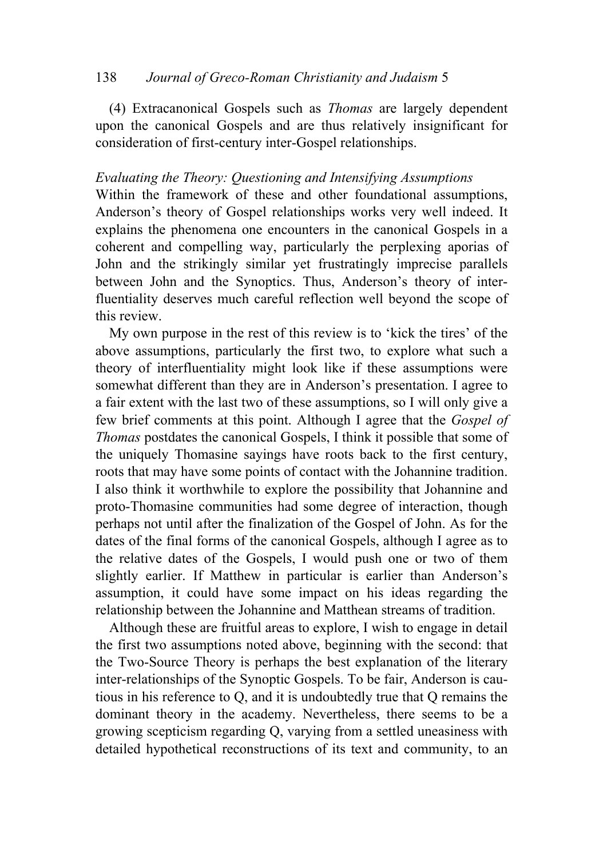### 138 *Journal of Greco-Roman Christianity and Judaism* 5

(4) Extracanonical Gospels such as *Thomas* are largely dependent upon the canonical Gospels and are thus relatively insignificant for consideration of first-century inter-Gospel relationships.

### *Evaluating the Theory: Questioning and Intensifying Assumptions*

Within the framework of these and other foundational assumptions, Anderson's theory of Gospel relationships works very well indeed. It explains the phenomena one encounters in the canonical Gospels in a coherent and compelling way, particularly the perplexing aporias of John and the strikingly similar yet frustratingly imprecise parallels between John and the Synoptics. Thus, Anderson's theory of interfluentiality deserves much careful reflection well beyond the scope of this review.

My own purpose in the rest of this review is to 'kick the tires' of the above assumptions, particularly the first two, to explore what such a theory of interfluentiality might look like if these assumptions were somewhat different than they are in Anderson's presentation. I agree to a fair extent with the last two of these assumptions, so I will only give a few brief comments at this point. Although I agree that the *Gospel of Thomas* postdates the canonical Gospels, I think it possible that some of the uniquely Thomasine sayings have roots back to the first century, roots that may have some points of contact with the Johannine tradition. I also think it worthwhile to explore the possibility that Johannine and proto-Thomasine communities had some degree of interaction, though perhaps not until after the finalization of the Gospel of John. As for the dates of the final forms of the canonical Gospels, although I agree as to the relative dates of the Gospels, I would push one or two of them slightly earlier. If Matthew in particular is earlier than Anderson's assumption, it could have some impact on his ideas regarding the relationship between the Johannine and Matthean streams of tradition.

Although these are fruitful areas to explore, I wish to engage in detail the first two assumptions noted above, beginning with the second: that the Two-Source Theory is perhaps the best explanation of the literary inter-relationships of the Synoptic Gospels. To be fair, Anderson is cautious in his reference to Q, and it is undoubtedly true that Q remains the dominant theory in the academy. Nevertheless, there seems to be a growing scepticism regarding Q, varying from a settled uneasiness with detailed hypothetical reconstructions of its text and community, to an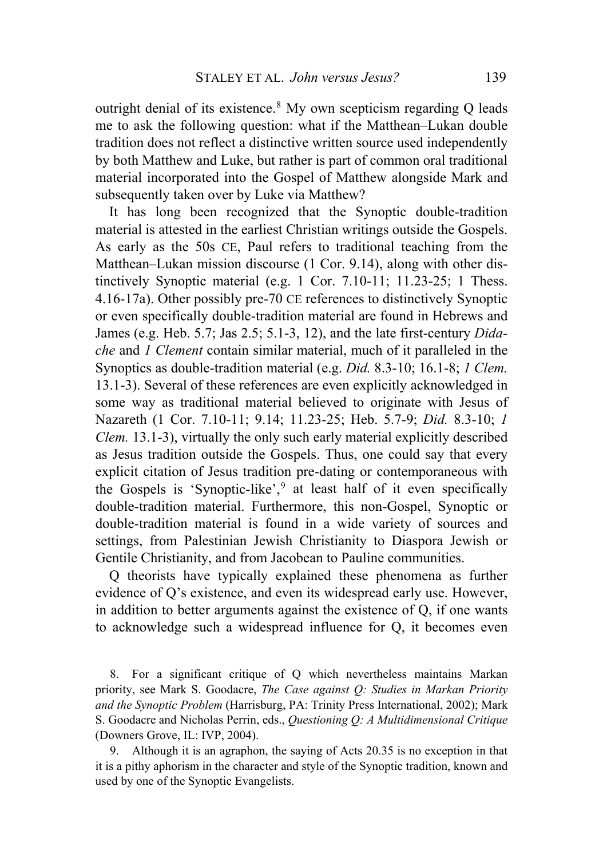outright denial of its existence.<sup>[8](#page-14-0)</sup> My own scepticism regarding O leads me to ask the following question: what if the Matthean–Lukan double tradition does not reflect a distinctive written source used independently by both Matthew and Luke, but rather is part of common oral traditional material incorporated into the Gospel of Matthew alongside Mark and subsequently taken over by Luke via Matthew?

It has long been recognized that the Synoptic double-tradition material is attested in the earliest Christian writings outside the Gospels. As early as the 50s CE, Paul refers to traditional teaching from the Matthean–Lukan mission discourse (1 Cor. 9.14), along with other distinctively Synoptic material (e.g. 1 Cor. 7.10-11; 11.23-25; 1 Thess. 4.16-17a). Other possibly pre-70 CE references to distinctively Synoptic or even specifically double-tradition material are found in Hebrews and James (e.g. Heb. 5.7; Jas 2.5; 5.1-3, 12), and the late first-century *Didache* and *1 Clement* contain similar material, much of it paralleled in the Synoptics as double-tradition material (e.g. *Did.* 8.3-10; 16.1-8; *1 Clem.* 13.1-3). Several of these references are even explicitly acknowledged in some way as traditional material believed to originate with Jesus of Nazareth (1 Cor. 7.10-11; 9.14; 11.23-25; Heb. 5.7-9; *Did.* 8.3-10; *1 Clem.* 13.1-3), virtually the only such early material explicitly described as Jesus tradition outside the Gospels. Thus, one could say that every explicit citation of Jesus tradition pre-dating or contemporaneous with the Gospels is 'Synoptic-like', $9$  at least half of it even specifically double-tradition material. Furthermore, this non-Gospel, Synoptic or double-tradition material is found in a wide variety of sources and settings, from Palestinian Jewish Christianity to Diaspora Jewish or Gentile Christianity, and from Jacobean to Pauline communities.

Q theorists have typically explained these phenomena as further evidence of Q's existence, and even its widespread early use. However, in addition to better arguments against the existence of Q, if one wants to acknowledge such a widespread influence for Q, it becomes even

<span id="page-14-0"></span>8. For a significant critique of Q which nevertheless maintains Markan priority, see Mark S. Goodacre, *The Case against Q: Studies in Markan Priority and the Synoptic Problem* (Harrisburg, PA: Trinity Press International, 2002); Mark S. Goodacre and Nicholas Perrin, eds., *Questioning Q: A Multidimensional Critique*  (Downers Grove, IL: IVP, 2004).

<span id="page-14-1"></span>9. Although it is an agraphon, the saying of Acts 20.35 is no exception in that it is a pithy aphorism in the character and style of the Synoptic tradition, known and used by one of the Synoptic Evangelists.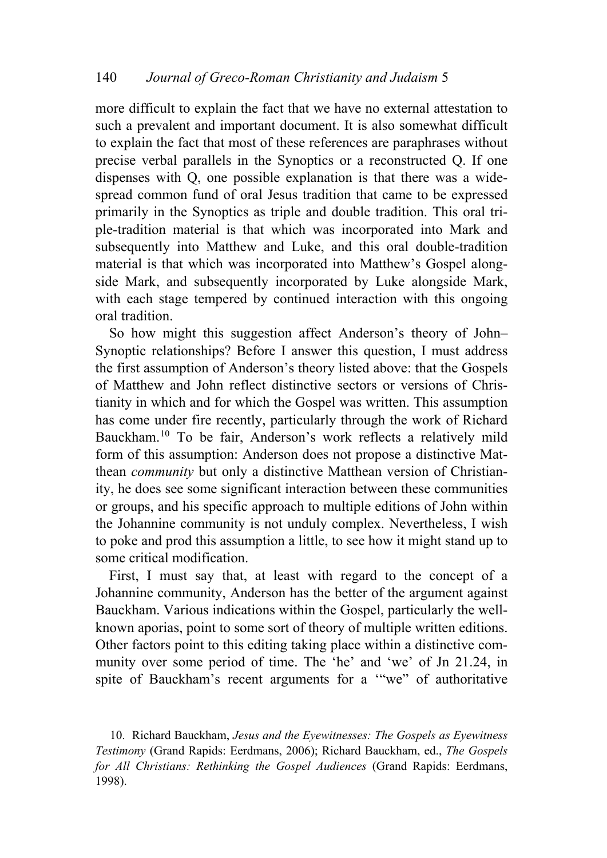more difficult to explain the fact that we have no external attestation to such a prevalent and important document. It is also somewhat difficult to explain the fact that most of these references are paraphrases without precise verbal parallels in the Synoptics or a reconstructed Q. If one dispenses with Q, one possible explanation is that there was a widespread common fund of oral Jesus tradition that came to be expressed primarily in the Synoptics as triple and double tradition. This oral triple-tradition material is that which was incorporated into Mark and subsequently into Matthew and Luke, and this oral double-tradition material is that which was incorporated into Matthew's Gospel alongside Mark, and subsequently incorporated by Luke alongside Mark, with each stage tempered by continued interaction with this ongoing oral tradition.

So how might this suggestion affect Anderson's theory of John– Synoptic relationships? Before I answer this question, I must address the first assumption of Anderson's theory listed above: that the Gospels of Matthew and John reflect distinctive sectors or versions of Christianity in which and for which the Gospel was written. This assumption has come under fire recently, particularly through the work of Richard Bauckham.[10](#page-15-0) To be fair, Anderson's work reflects a relatively mild form of this assumption: Anderson does not propose a distinctive Matthean *community* but only a distinctive Matthean version of Christianity, he does see some significant interaction between these communities or groups, and his specific approach to multiple editions of John within the Johannine community is not unduly complex. Nevertheless, I wish to poke and prod this assumption a little, to see how it might stand up to some critical modification.

First, I must say that, at least with regard to the concept of a Johannine community, Anderson has the better of the argument against Bauckham. Various indications within the Gospel, particularly the wellknown aporias, point to some sort of theory of multiple written editions. Other factors point to this editing taking place within a distinctive community over some period of time. The 'he' and 'we' of Jn 21.24, in spite of Bauckham's recent arguments for a '"we" of authoritative

<span id="page-15-0"></span>10. Richard Bauckham, *Jesus and the Eyewitnesses: The Gospels as Eyewitness Testimony* (Grand Rapids: Eerdmans, 2006); Richard Bauckham, ed., *The Gospels for All Christians: Rethinking the Gospel Audiences* (Grand Rapids: Eerdmans, 1998).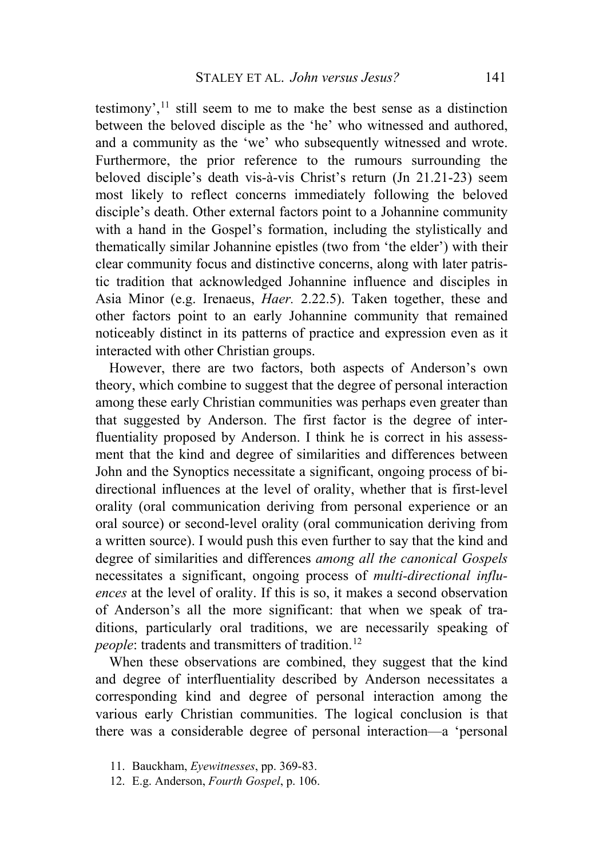testimony',  $11$  still seem to me to make the best sense as a distinction between the beloved disciple as the 'he' who witnessed and authored, and a community as the 'we' who subsequently witnessed and wrote. Furthermore, the prior reference to the rumours surrounding the beloved disciple's death vis-à-vis Christ's return (Jn 21.21-23) seem most likely to reflect concerns immediately following the beloved disciple's death. Other external factors point to a Johannine community with a hand in the Gospel's formation, including the stylistically and thematically similar Johannine epistles (two from 'the elder') with their clear community focus and distinctive concerns, along with later patristic tradition that acknowledged Johannine influence and disciples in Asia Minor (e.g. Irenaeus, *Haer.* 2.22.5). Taken together, these and other factors point to an early Johannine community that remained noticeably distinct in its patterns of practice and expression even as it interacted with other Christian groups.

However, there are two factors, both aspects of Anderson's own theory, which combine to suggest that the degree of personal interaction among these early Christian communities was perhaps even greater than that suggested by Anderson. The first factor is the degree of interfluentiality proposed by Anderson. I think he is correct in his assessment that the kind and degree of similarities and differences between John and the Synoptics necessitate a significant, ongoing process of bidirectional influences at the level of orality, whether that is first-level orality (oral communication deriving from personal experience or an oral source) or second-level orality (oral communication deriving from a written source). I would push this even further to say that the kind and degree of similarities and differences *among all the canonical Gospels* necessitates a significant, ongoing process of *multi-directional influences* at the level of orality. If this is so, it makes a second observation of Anderson's all the more significant: that when we speak of traditions, particularly oral traditions, we are necessarily speaking of *people*: tradents and transmitters of tradition.<sup>[12](#page-16-1)</sup>

When these observations are combined, they suggest that the kind and degree of interfluentiality described by Anderson necessitates a corresponding kind and degree of personal interaction among the various early Christian communities. The logical conclusion is that there was a considerable degree of personal interaction—a 'personal

- <span id="page-16-0"></span>11. Bauckham, *Eyewitnesses*, pp. 369-83.
- <span id="page-16-1"></span>12. E.g. Anderson, *Fourth Gospel*, p. 106.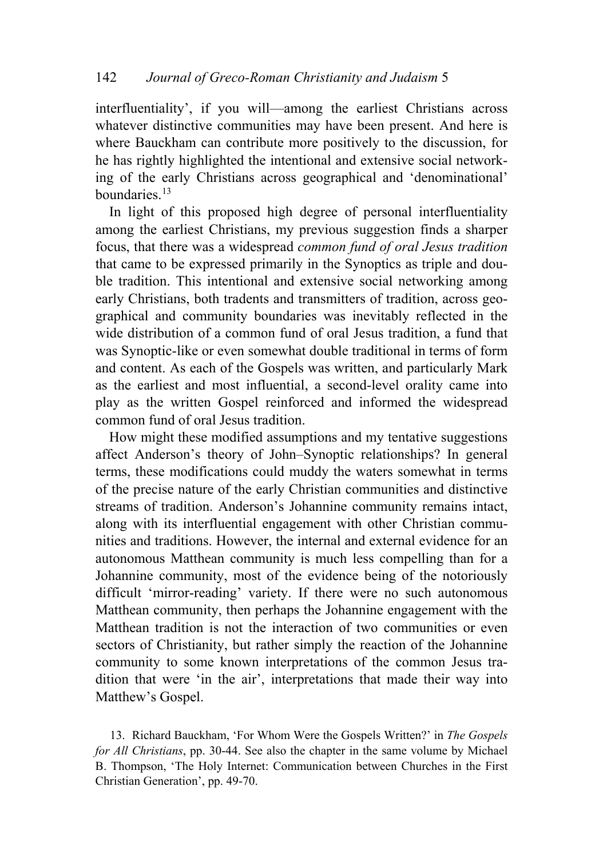interfluentiality', if you will—among the earliest Christians across whatever distinctive communities may have been present. And here is where Bauckham can contribute more positively to the discussion, for he has rightly highlighted the intentional and extensive social networking of the early Christians across geographical and 'denominational' boundaries.<sup>[13](#page-17-0)</sup>

In light of this proposed high degree of personal interfluentiality among the earliest Christians, my previous suggestion finds a sharper focus, that there was a widespread *common fund of oral Jesus tradition* that came to be expressed primarily in the Synoptics as triple and double tradition. This intentional and extensive social networking among early Christians, both tradents and transmitters of tradition, across geographical and community boundaries was inevitably reflected in the wide distribution of a common fund of oral Jesus tradition, a fund that was Synoptic-like or even somewhat double traditional in terms of form and content. As each of the Gospels was written, and particularly Mark as the earliest and most influential, a second-level orality came into play as the written Gospel reinforced and informed the widespread common fund of oral Jesus tradition.

How might these modified assumptions and my tentative suggestions affect Anderson's theory of John–Synoptic relationships? In general terms, these modifications could muddy the waters somewhat in terms of the precise nature of the early Christian communities and distinctive streams of tradition. Anderson's Johannine community remains intact, along with its interfluential engagement with other Christian communities and traditions. However, the internal and external evidence for an autonomous Matthean community is much less compelling than for a Johannine community, most of the evidence being of the notoriously difficult 'mirror-reading' variety. If there were no such autonomous Matthean community, then perhaps the Johannine engagement with the Matthean tradition is not the interaction of two communities or even sectors of Christianity, but rather simply the reaction of the Johannine community to some known interpretations of the common Jesus tradition that were 'in the air', interpretations that made their way into Matthew's Gospel.

<span id="page-17-0"></span>13. Richard Bauckham, 'For Whom Were the Gospels Written?' in *The Gospels for All Christians*, pp. 30-44. See also the chapter in the same volume by Michael B. Thompson, 'The Holy Internet: Communication between Churches in the First Christian Generation', pp. 49-70.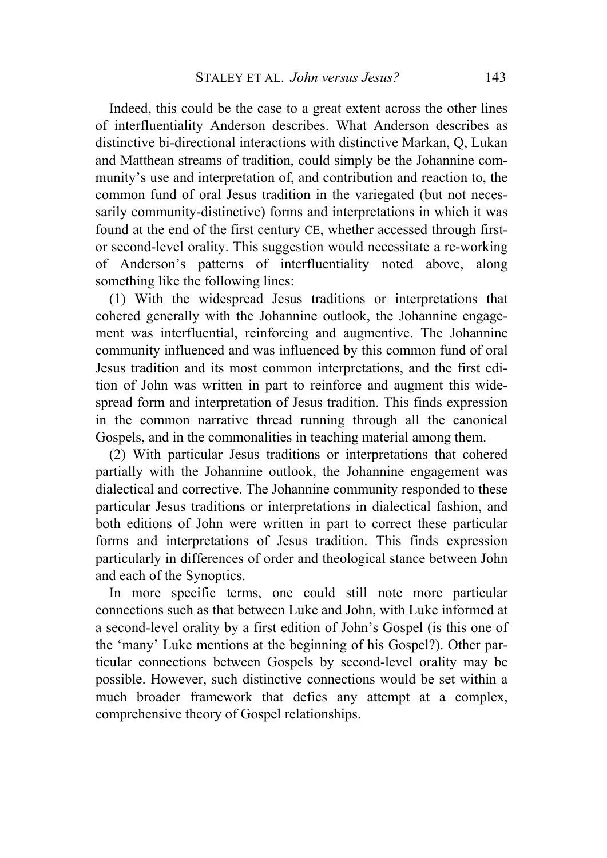Indeed, this could be the case to a great extent across the other lines of interfluentiality Anderson describes. What Anderson describes as distinctive bi-directional interactions with distinctive Markan, Q, Lukan and Matthean streams of tradition, could simply be the Johannine community's use and interpretation of, and contribution and reaction to, the common fund of oral Jesus tradition in the variegated (but not necessarily community-distinctive) forms and interpretations in which it was found at the end of the first century CE, whether accessed through firstor second-level orality. This suggestion would necessitate a re-working of Anderson's patterns of interfluentiality noted above, along something like the following lines:

(1) With the widespread Jesus traditions or interpretations that cohered generally with the Johannine outlook, the Johannine engagement was interfluential, reinforcing and augmentive. The Johannine community influenced and was influenced by this common fund of oral Jesus tradition and its most common interpretations, and the first edition of John was written in part to reinforce and augment this widespread form and interpretation of Jesus tradition. This finds expression in the common narrative thread running through all the canonical Gospels, and in the commonalities in teaching material among them.

(2) With particular Jesus traditions or interpretations that cohered partially with the Johannine outlook, the Johannine engagement was dialectical and corrective. The Johannine community responded to these particular Jesus traditions or interpretations in dialectical fashion, and both editions of John were written in part to correct these particular forms and interpretations of Jesus tradition. This finds expression particularly in differences of order and theological stance between John and each of the Synoptics.

In more specific terms, one could still note more particular connections such as that between Luke and John, with Luke informed at a second-level orality by a first edition of John's Gospel (is this one of the 'many' Luke mentions at the beginning of his Gospel?). Other particular connections between Gospels by second-level orality may be possible. However, such distinctive connections would be set within a much broader framework that defies any attempt at a complex, comprehensive theory of Gospel relationships.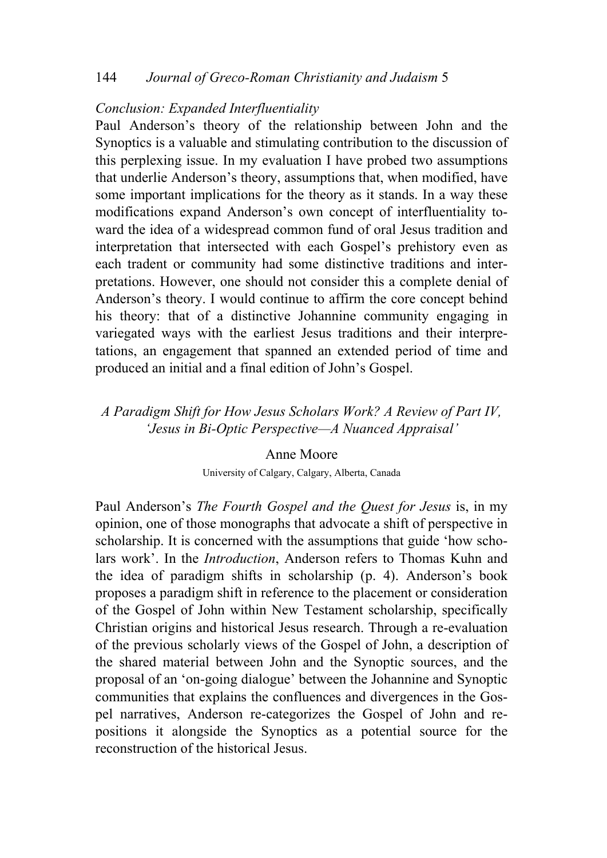### 144 *Journal of Greco-Roman Christianity and Judaism* 5

### *Conclusion: Expanded Interfluentiality*

Paul Anderson's theory of the relationship between John and the Synoptics is a valuable and stimulating contribution to the discussion of this perplexing issue. In my evaluation I have probed two assumptions that underlie Anderson's theory, assumptions that, when modified, have some important implications for the theory as it stands. In a way these modifications expand Anderson's own concept of interfluentiality toward the idea of a widespread common fund of oral Jesus tradition and interpretation that intersected with each Gospel's prehistory even as each tradent or community had some distinctive traditions and interpretations. However, one should not consider this a complete denial of Anderson's theory. I would continue to affirm the core concept behind his theory: that of a distinctive Johannine community engaging in variegated ways with the earliest Jesus traditions and their interpretations, an engagement that spanned an extended period of time and produced an initial and a final edition of John's Gospel.

# *A Paradigm Shift for How Jesus Scholars Work? A Review of Part IV, 'Jesus in Bi-Optic Perspective—A Nuanced Appraisal'*

### Anne Moore

University of Calgary, Calgary, Alberta, Canada

Paul Anderson's *The Fourth Gospel and the Quest for Jesus* is, in my opinion, one of those monographs that advocate a shift of perspective in scholarship. It is concerned with the assumptions that guide 'how scholars work'. In the *Introduction*, Anderson refers to Thomas Kuhn and the idea of paradigm shifts in scholarship (p. 4). Anderson's book proposes a paradigm shift in reference to the placement or consideration of the Gospel of John within New Testament scholarship, specifically Christian origins and historical Jesus research. Through a re-evaluation of the previous scholarly views of the Gospel of John, a description of the shared material between John and the Synoptic sources, and the proposal of an 'on-going dialogue' between the Johannine and Synoptic communities that explains the confluences and divergences in the Gospel narratives, Anderson re-categorizes the Gospel of John and repositions it alongside the Synoptics as a potential source for the reconstruction of the historical Jesus.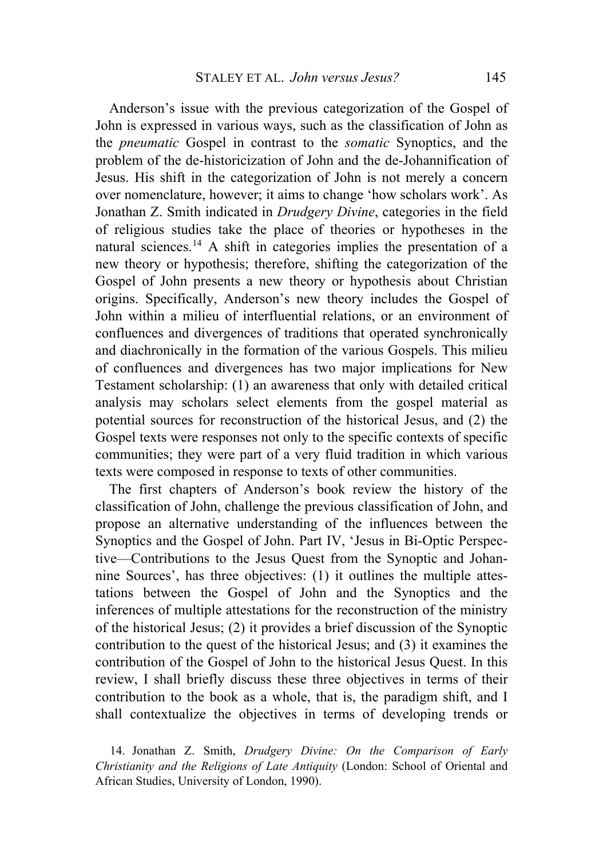Anderson's issue with the previous categorization of the Gospel of John is expressed in various ways, such as the classification of John as the *pneumatic* Gospel in contrast to the *somatic* Synoptics, and the problem of the de-historicization of John and the de-Johannification of Jesus. His shift in the categorization of John is not merely a concern over nomenclature, however; it aims to change 'how scholars work'. As Jonathan Z. Smith indicated in *Drudgery Divine*, categories in the field of religious studies take the place of theories or hypotheses in the natural sciences.[14](#page-20-0) A shift in categories implies the presentation of a new theory or hypothesis; therefore, shifting the categorization of the Gospel of John presents a new theory or hypothesis about Christian origins. Specifically, Anderson's new theory includes the Gospel of John within a milieu of interfluential relations, or an environment of confluences and divergences of traditions that operated synchronically and diachronically in the formation of the various Gospels. This milieu of confluences and divergences has two major implications for New Testament scholarship: (1) an awareness that only with detailed critical analysis may scholars select elements from the gospel material as potential sources for reconstruction of the historical Jesus, and (2) the Gospel texts were responses not only to the specific contexts of specific communities; they were part of a very fluid tradition in which various texts were composed in response to texts of other communities.

The first chapters of Anderson's book review the history of the classification of John, challenge the previous classification of John, and propose an alternative understanding of the influences between the Synoptics and the Gospel of John. Part IV, 'Jesus in Bi-Optic Perspective—Contributions to the Jesus Quest from the Synoptic and Johannine Sources', has three objectives: (1) it outlines the multiple attestations between the Gospel of John and the Synoptics and the inferences of multiple attestations for the reconstruction of the ministry of the historical Jesus; (2) it provides a brief discussion of the Synoptic contribution to the quest of the historical Jesus; and (3) it examines the contribution of the Gospel of John to the historical Jesus Quest. In this review, I shall briefly discuss these three objectives in terms of their contribution to the book as a whole, that is, the paradigm shift, and I shall contextualize the objectives in terms of developing trends or

<span id="page-20-0"></span>14. Jonathan Z. Smith, *Drudgery Divine: On the Comparison of Early Christianity and the Religions of Late Antiquity* (London: School of Oriental and African Studies, University of London, 1990).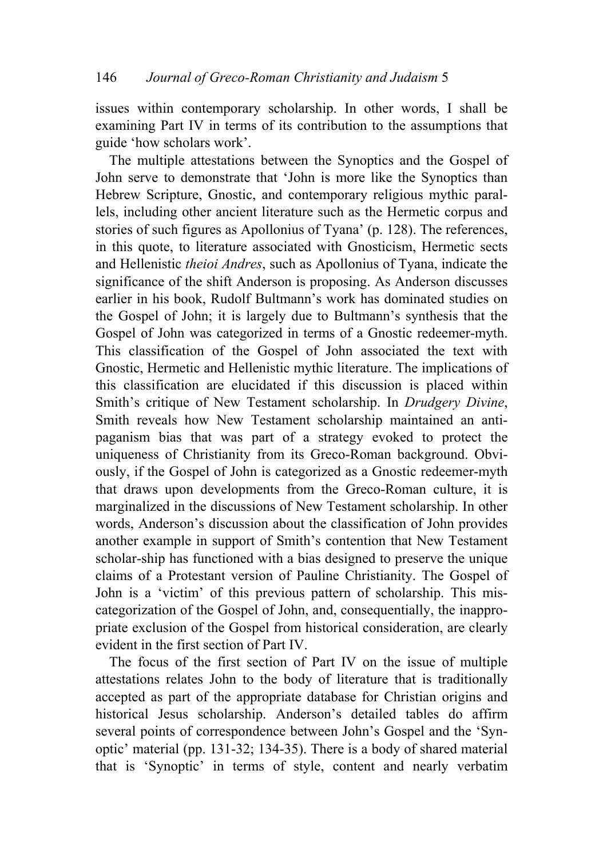issues within contemporary scholarship. In other words, I shall be examining Part IV in terms of its contribution to the assumptions that guide 'how scholars work'.

The multiple attestations between the Synoptics and the Gospel of John serve to demonstrate that 'John is more like the Synoptics than Hebrew Scripture, Gnostic, and contemporary religious mythic parallels, including other ancient literature such as the Hermetic corpus and stories of such figures as Apollonius of Tyana' (p. 128). The references, in this quote, to literature associated with Gnosticism, Hermetic sects and Hellenistic *theioi Andres*, such as Apollonius of Tyana, indicate the significance of the shift Anderson is proposing. As Anderson discusses earlier in his book, Rudolf Bultmann's work has dominated studies on the Gospel of John; it is largely due to Bultmann's synthesis that the Gospel of John was categorized in terms of a Gnostic redeemer-myth. This classification of the Gospel of John associated the text with Gnostic, Hermetic and Hellenistic mythic literature. The implications of this classification are elucidated if this discussion is placed within Smith's critique of New Testament scholarship. In *Drudgery Divine*, Smith reveals how New Testament scholarship maintained an antipaganism bias that was part of a strategy evoked to protect the uniqueness of Christianity from its Greco-Roman background. Obviously, if the Gospel of John is categorized as a Gnostic redeemer-myth that draws upon developments from the Greco-Roman culture, it is marginalized in the discussions of New Testament scholarship. In other words, Anderson's discussion about the classification of John provides another example in support of Smith's contention that New Testament scholar-ship has functioned with a bias designed to preserve the unique claims of a Protestant version of Pauline Christianity. The Gospel of John is a 'victim' of this previous pattern of scholarship. This miscategorization of the Gospel of John, and, consequentially, the inappropriate exclusion of the Gospel from historical consideration, are clearly evident in the first section of Part IV.

The focus of the first section of Part IV on the issue of multiple attestations relates John to the body of literature that is traditionally accepted as part of the appropriate database for Christian origins and historical Jesus scholarship. Anderson's detailed tables do affirm several points of correspondence between John's Gospel and the 'Synoptic' material (pp. 131-32; 134-35). There is a body of shared material that is 'Synoptic' in terms of style, content and nearly verbatim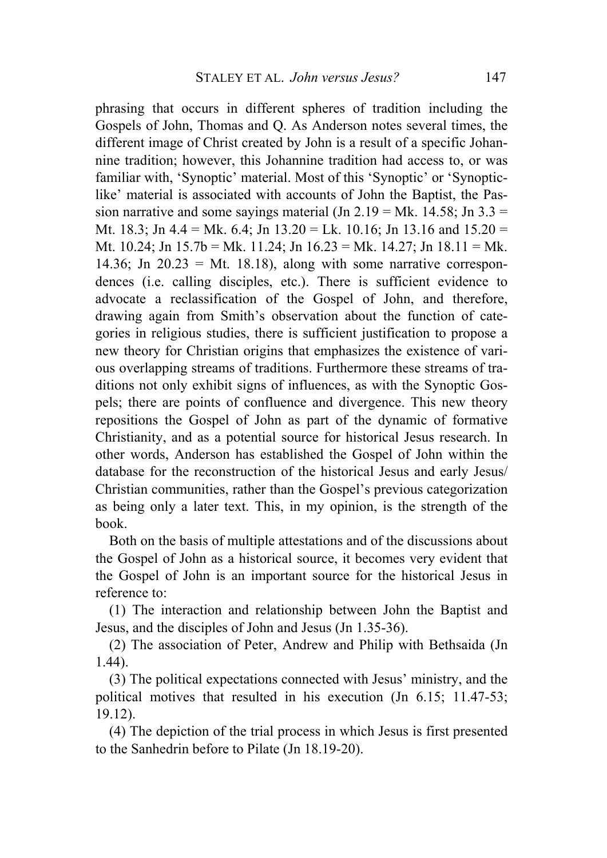phrasing that occurs in different spheres of tradition including the Gospels of John, Thomas and Q. As Anderson notes several times, the different image of Christ created by John is a result of a specific Johannine tradition; however, this Johannine tradition had access to, or was familiar with, 'Synoptic' material. Most of this 'Synoptic' or 'Synopticlike' material is associated with accounts of John the Baptist, the Passion narrative and some sayings material (Jn  $2.19 = Mk$ . 14.58; Jn  $3.3 =$ Mt. 18.3; Jn 4.4 = Mk. 6.4; Jn 13.20 = Lk. 10.16; Jn 13.16 and 15.20 = Mt. 10.24; Jn 15.7b = Mk. 11.24; Jn 16.23 = Mk. 14.27; Jn 18.11 = Mk. 14.36; Jn  $20.23 = Mt$ . 18.18), along with some narrative correspondences (i.e. calling disciples, etc.). There is sufficient evidence to advocate a reclassification of the Gospel of John, and therefore, drawing again from Smith's observation about the function of categories in religious studies, there is sufficient justification to propose a new theory for Christian origins that emphasizes the existence of various overlapping streams of traditions. Furthermore these streams of traditions not only exhibit signs of influences, as with the Synoptic Gospels; there are points of confluence and divergence. This new theory repositions the Gospel of John as part of the dynamic of formative Christianity, and as a potential source for historical Jesus research. In other words, Anderson has established the Gospel of John within the database for the reconstruction of the historical Jesus and early Jesus/ Christian communities, rather than the Gospel's previous categorization as being only a later text. This, in my opinion, is the strength of the book.

Both on the basis of multiple attestations and of the discussions about the Gospel of John as a historical source, it becomes very evident that the Gospel of John is an important source for the historical Jesus in reference to:

(1) The interaction and relationship between John the Baptist and Jesus, and the disciples of John and Jesus (Jn 1.35-36).

(2) The association of Peter, Andrew and Philip with Bethsaida (Jn 1.44).

(3) The political expectations connected with Jesus' ministry, and the political motives that resulted in his execution (Jn 6.15; 11.47-53; 19.12).

(4) The depiction of the trial process in which Jesus is first presented to the Sanhedrin before to Pilate (Jn 18.19-20).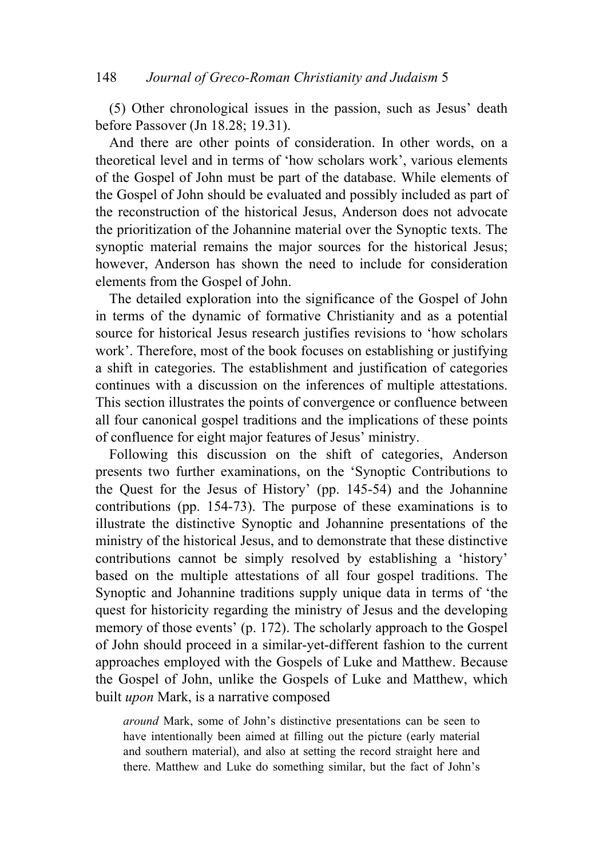(5) Other chronological issues in the passion, such as Jesus' death before Passover (Jn 18.28; 19.31).

And there are other points of consideration. In other words, on a theoretical level and in terms of 'how scholars work', various elements of the Gospel of John must be part of the database. While elements of the Gospel of John should be evaluated and possibly included as part of the reconstruction of the historical Jesus, Anderson does not advocate the prioritization of the Johannine material over the Synoptic texts. The synoptic material remains the major sources for the historical Jesus; however, Anderson has shown the need to include for consideration elements from the Gospel of John.

The detailed exploration into the significance of the Gospel of John in terms of the dynamic of formative Christianity and as a potential source for historical Jesus research justifies revisions to 'how scholars work'. Therefore, most of the book focuses on establishing or justifying a shift in categories. The establishment and justification of categories continues with a discussion on the inferences of multiple attestations. This section illustrates the points of convergence or confluence between all four canonical gospel traditions and the implications of these points of confluence for eight major features of Jesus' ministry.

Following this discussion on the shift of categories, Anderson presents two further examinations, on the 'Synoptic Contributions to the Quest for the Jesus of History' (pp. 145-54) and the Johannine contributions (pp. 154-73). The purpose of these examinations is to illustrate the distinctive Synoptic and Johannine presentations of the ministry of the historical Jesus, and to demonstrate that these distinctive contributions cannot be simply resolved by establishing a 'history' based on the multiple attestations of all four gospel traditions. The Synoptic and Johannine traditions supply unique data in terms of 'the quest for historicity regarding the ministry of Jesus and the developing memory of those events' (p. 172). The scholarly approach to the Gospel of John should proceed in a similar-yet-different fashion to the current approaches employed with the Gospels of Luke and Matthew. Because the Gospel of John, unlike the Gospels of Luke and Matthew, which built *upon* Mark, is a narrative composed

*around* Mark, some of John's distinctive presentations can be seen to have intentionally been aimed at filling out the picture (early material and southern material), and also at setting the record straight here and there. Matthew and Luke do something similar, but the fact of John's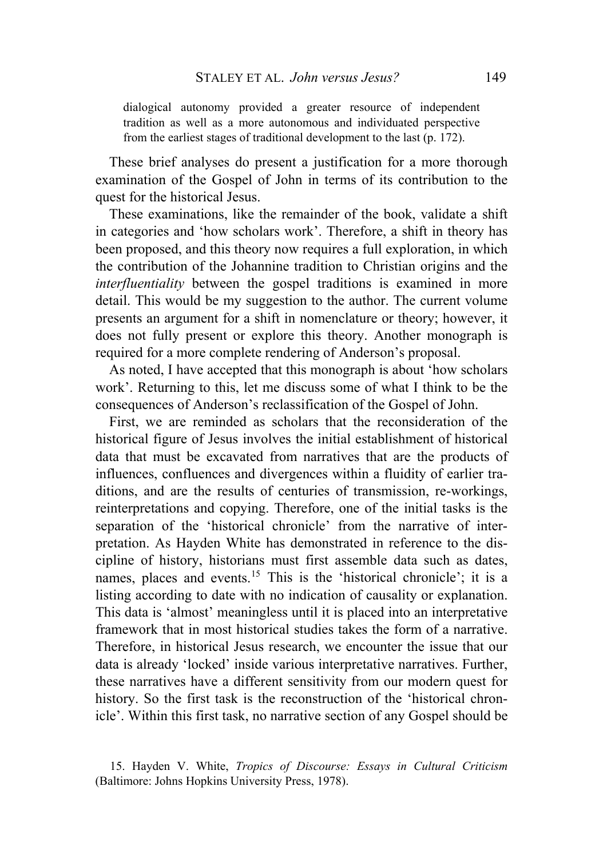dialogical autonomy provided a greater resource of independent tradition as well as a more autonomous and individuated perspective from the earliest stages of traditional development to the last (p. 172).

These brief analyses do present a justification for a more thorough examination of the Gospel of John in terms of its contribution to the quest for the historical Jesus.

These examinations, like the remainder of the book, validate a shift in categories and 'how scholars work'. Therefore, a shift in theory has been proposed, and this theory now requires a full exploration, in which the contribution of the Johannine tradition to Christian origins and the *interfluentiality* between the gospel traditions is examined in more detail. This would be my suggestion to the author. The current volume presents an argument for a shift in nomenclature or theory; however, it does not fully present or explore this theory. Another monograph is required for a more complete rendering of Anderson's proposal.

As noted, I have accepted that this monograph is about 'how scholars work'. Returning to this, let me discuss some of what I think to be the consequences of Anderson's reclassification of the Gospel of John.

First, we are reminded as scholars that the reconsideration of the historical figure of Jesus involves the initial establishment of historical data that must be excavated from narratives that are the products of influences, confluences and divergences within a fluidity of earlier traditions, and are the results of centuries of transmission, re-workings, reinterpretations and copying. Therefore, one of the initial tasks is the separation of the 'historical chronicle' from the narrative of interpretation. As Hayden White has demonstrated in reference to the discipline of history, historians must first assemble data such as dates, names, places and events.<sup>[15](#page-24-0)</sup> This is the 'historical chronicle'; it is a listing according to date with no indication of causality or explanation. This data is 'almost' meaningless until it is placed into an interpretative framework that in most historical studies takes the form of a narrative. Therefore, in historical Jesus research, we encounter the issue that our data is already 'locked' inside various interpretative narratives. Further, these narratives have a different sensitivity from our modern quest for history. So the first task is the reconstruction of the 'historical chronicle'. Within this first task, no narrative section of any Gospel should be

<span id="page-24-0"></span><sup>15.</sup> Hayden V. White, *Tropics of Discourse: Essays in Cultural Criticism*  (Baltimore: Johns Hopkins University Press, 1978).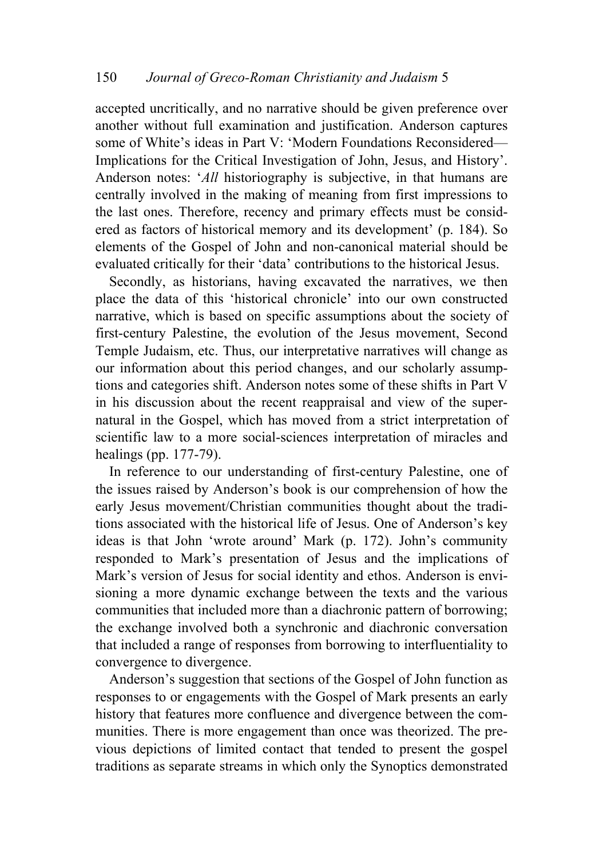accepted uncritically, and no narrative should be given preference over another without full examination and justification. Anderson captures some of White's ideas in Part V: 'Modern Foundations Reconsidered— Implications for the Critical Investigation of John, Jesus, and History'. Anderson notes: '*All* historiography is subjective, in that humans are centrally involved in the making of meaning from first impressions to the last ones. Therefore, recency and primary effects must be considered as factors of historical memory and its development' (p. 184). So elements of the Gospel of John and non-canonical material should be evaluated critically for their 'data' contributions to the historical Jesus.

Secondly, as historians, having excavated the narratives, we then place the data of this 'historical chronicle' into our own constructed narrative, which is based on specific assumptions about the society of first-century Palestine, the evolution of the Jesus movement, Second Temple Judaism, etc. Thus, our interpretative narratives will change as our information about this period changes, and our scholarly assumptions and categories shift. Anderson notes some of these shifts in Part V in his discussion about the recent reappraisal and view of the supernatural in the Gospel, which has moved from a strict interpretation of scientific law to a more social-sciences interpretation of miracles and healings (pp. 177-79).

In reference to our understanding of first-century Palestine, one of the issues raised by Anderson's book is our comprehension of how the early Jesus movement/Christian communities thought about the traditions associated with the historical life of Jesus. One of Anderson's key ideas is that John 'wrote around' Mark (p. 172). John's community responded to Mark's presentation of Jesus and the implications of Mark's version of Jesus for social identity and ethos. Anderson is envisioning a more dynamic exchange between the texts and the various communities that included more than a diachronic pattern of borrowing; the exchange involved both a synchronic and diachronic conversation that included a range of responses from borrowing to interfluentiality to convergence to divergence.

Anderson's suggestion that sections of the Gospel of John function as responses to or engagements with the Gospel of Mark presents an early history that features more confluence and divergence between the communities. There is more engagement than once was theorized. The previous depictions of limited contact that tended to present the gospel traditions as separate streams in which only the Synoptics demonstrated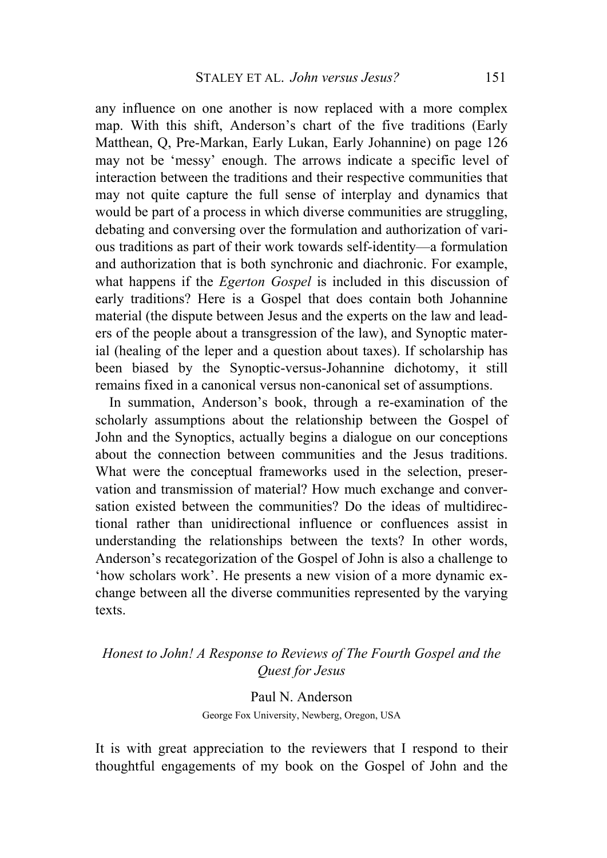any influence on one another is now replaced with a more complex map. With this shift, Anderson's chart of the five traditions (Early Matthean, Q, Pre-Markan, Early Lukan, Early Johannine) on page 126 may not be 'messy' enough. The arrows indicate a specific level of interaction between the traditions and their respective communities that may not quite capture the full sense of interplay and dynamics that would be part of a process in which diverse communities are struggling, debating and conversing over the formulation and authorization of various traditions as part of their work towards self-identity—a formulation and authorization that is both synchronic and diachronic. For example, what happens if the *Egerton Gospel* is included in this discussion of early traditions? Here is a Gospel that does contain both Johannine material (the dispute between Jesus and the experts on the law and leaders of the people about a transgression of the law), and Synoptic material (healing of the leper and a question about taxes). If scholarship has been biased by the Synoptic-versus-Johannine dichotomy, it still remains fixed in a canonical versus non-canonical set of assumptions.

In summation, Anderson's book, through a re-examination of the scholarly assumptions about the relationship between the Gospel of John and the Synoptics, actually begins a dialogue on our conceptions about the connection between communities and the Jesus traditions. What were the conceptual frameworks used in the selection, preservation and transmission of material? How much exchange and conversation existed between the communities? Do the ideas of multidirectional rather than unidirectional influence or confluences assist in understanding the relationships between the texts? In other words, Anderson's recategorization of the Gospel of John is also a challenge to 'how scholars work'. He presents a new vision of a more dynamic exchange between all the diverse communities represented by the varying texts.

## *Honest to John! A Response to Reviews of The Fourth Gospel and the Quest for Jesus*

Paul N. Anderson George Fox University, Newberg, Oregon, USA

It is with great appreciation to the reviewers that I respond to their thoughtful engagements of my book on the Gospel of John and the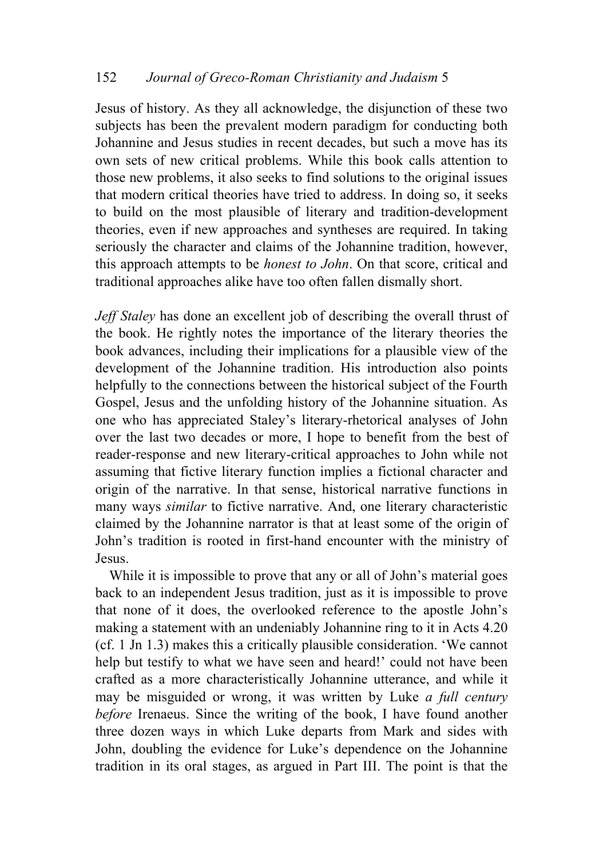Jesus of history. As they all acknowledge, the disjunction of these two subjects has been the prevalent modern paradigm for conducting both Johannine and Jesus studies in recent decades, but such a move has its own sets of new critical problems. While this book calls attention to those new problems, it also seeks to find solutions to the original issues that modern critical theories have tried to address. In doing so, it seeks to build on the most plausible of literary and tradition-development theories, even if new approaches and syntheses are required. In taking seriously the character and claims of the Johannine tradition, however, this approach attempts to be *honest to John*. On that score, critical and traditional approaches alike have too often fallen dismally short.

*Jeff Staley* has done an excellent job of describing the overall thrust of the book. He rightly notes the importance of the literary theories the book advances, including their implications for a plausible view of the development of the Johannine tradition. His introduction also points helpfully to the connections between the historical subject of the Fourth Gospel, Jesus and the unfolding history of the Johannine situation. As one who has appreciated Staley's literary-rhetorical analyses of John over the last two decades or more, I hope to benefit from the best of reader-response and new literary-critical approaches to John while not assuming that fictive literary function implies a fictional character and origin of the narrative. In that sense, historical narrative functions in many ways *similar* to fictive narrative. And, one literary characteristic claimed by the Johannine narrator is that at least some of the origin of John's tradition is rooted in first-hand encounter with the ministry of Jesus.

While it is impossible to prove that any or all of John's material goes back to an independent Jesus tradition, just as it is impossible to prove that none of it does, the overlooked reference to the apostle John's making a statement with an undeniably Johannine ring to it in Acts 4.20 (cf. 1 Jn 1.3) makes this a critically plausible consideration. 'We cannot help but testify to what we have seen and heard!' could not have been crafted as a more characteristically Johannine utterance, and while it may be misguided or wrong, it was written by Luke *a full century before* Irenaeus. Since the writing of the book, I have found another three dozen ways in which Luke departs from Mark and sides with John, doubling the evidence for Luke's dependence on the Johannine tradition in its oral stages, as argued in Part III. The point is that the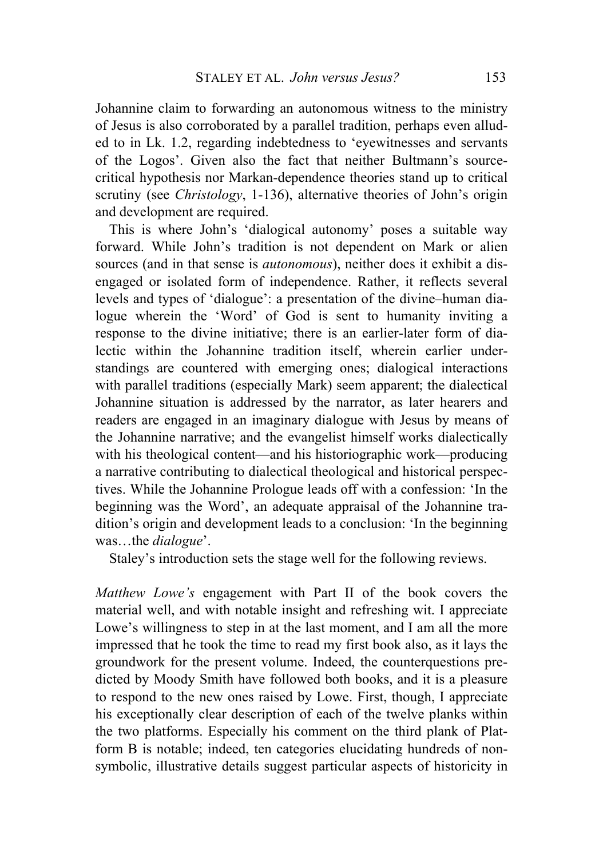Johannine claim to forwarding an autonomous witness to the ministry of Jesus is also corroborated by a parallel tradition, perhaps even alluded to in Lk. 1.2, regarding indebtedness to 'eyewitnesses and servants of the Logos'. Given also the fact that neither Bultmann's sourcecritical hypothesis nor Markan-dependence theories stand up to critical scrutiny (see *Christology*, 1-136), alternative theories of John's origin and development are required.

This is where John's 'dialogical autonomy' poses a suitable way forward. While John's tradition is not dependent on Mark or alien sources (and in that sense is *autonomous*), neither does it exhibit a disengaged or isolated form of independence. Rather, it reflects several levels and types of 'dialogue': a presentation of the divine–human dialogue wherein the 'Word' of God is sent to humanity inviting a response to the divine initiative; there is an earlier-later form of dialectic within the Johannine tradition itself, wherein earlier understandings are countered with emerging ones; dialogical interactions with parallel traditions (especially Mark) seem apparent; the dialectical Johannine situation is addressed by the narrator, as later hearers and readers are engaged in an imaginary dialogue with Jesus by means of the Johannine narrative; and the evangelist himself works dialectically with his theological content—and his historiographic work—producing a narrative contributing to dialectical theological and historical perspectives. While the Johannine Prologue leads off with a confession: 'In the beginning was the Word', an adequate appraisal of the Johannine tradition's origin and development leads to a conclusion: 'In the beginning was…the *dialogue*'.

Staley's introduction sets the stage well for the following reviews.

*Matthew Lowe's* engagement with Part II of the book covers the material well, and with notable insight and refreshing wit. I appreciate Lowe's willingness to step in at the last moment, and I am all the more impressed that he took the time to read my first book also, as it lays the groundwork for the present volume. Indeed, the counterquestions predicted by Moody Smith have followed both books, and it is a pleasure to respond to the new ones raised by Lowe. First, though, I appreciate his exceptionally clear description of each of the twelve planks within the two platforms. Especially his comment on the third plank of Platform B is notable; indeed, ten categories elucidating hundreds of nonsymbolic, illustrative details suggest particular aspects of historicity in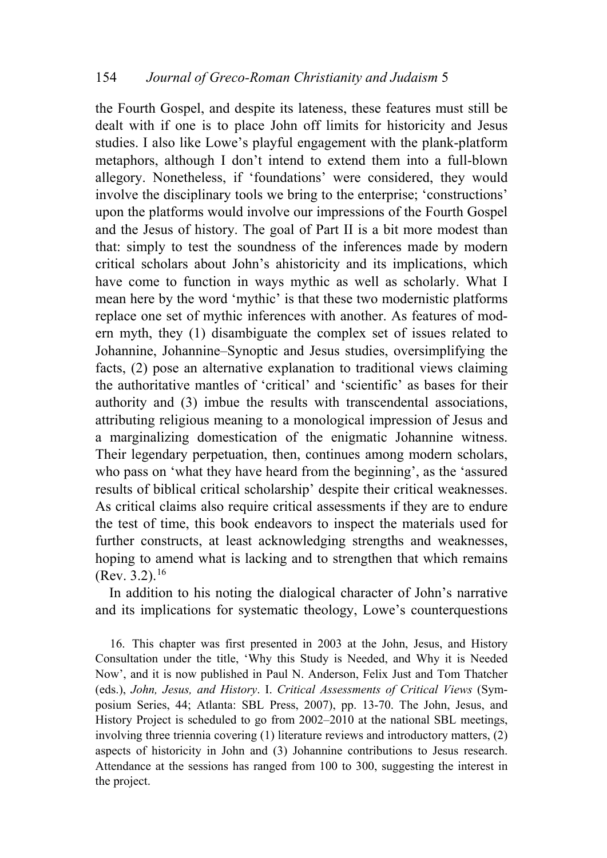the Fourth Gospel, and despite its lateness, these features must still be dealt with if one is to place John off limits for historicity and Jesus studies. I also like Lowe's playful engagement with the plank-platform metaphors, although I don't intend to extend them into a full-blown allegory. Nonetheless, if 'foundations' were considered, they would involve the disciplinary tools we bring to the enterprise; 'constructions' upon the platforms would involve our impressions of the Fourth Gospel and the Jesus of history. The goal of Part II is a bit more modest than that: simply to test the soundness of the inferences made by modern critical scholars about John's ahistoricity and its implications, which have come to function in ways mythic as well as scholarly. What I mean here by the word 'mythic' is that these two modernistic platforms replace one set of mythic inferences with another. As features of modern myth, they (1) disambiguate the complex set of issues related to Johannine, Johannine–Synoptic and Jesus studies, oversimplifying the facts, (2) pose an alternative explanation to traditional views claiming the authoritative mantles of 'critical' and 'scientific' as bases for their authority and (3) imbue the results with transcendental associations, attributing religious meaning to a monological impression of Jesus and a marginalizing domestication of the enigmatic Johannine witness. Their legendary perpetuation, then, continues among modern scholars, who pass on 'what they have heard from the beginning', as the 'assured results of biblical critical scholarship' despite their critical weaknesses. As critical claims also require critical assessments if they are to endure the test of time, this book endeavors to inspect the materials used for further constructs, at least acknowledging strengths and weaknesses, hoping to amend what is lacking and to strengthen that which remains  $(Rev. 3.2).<sup>16</sup>$  $(Rev. 3.2).<sup>16</sup>$  $(Rev. 3.2).<sup>16</sup>$ 

In addition to his noting the dialogical character of John's narrative and its implications for systematic theology, Lowe's counterquestions

<span id="page-29-0"></span>16. This chapter was first presented in 2003 at the John, Jesus, and History Consultation under the title, 'Why this Study is Needed, and Why it is Needed Now', and it is now published in Paul N. Anderson, Felix Just and Tom Thatcher (eds.), *John, Jesus, and History*. I. *Critical Assessments of Critical Views* (Symposium Series, 44; Atlanta: SBL Press, 2007), pp. 13-70. The John, Jesus, and History Project is scheduled to go from 2002–2010 at the national SBL meetings, involving three triennia covering (1) literature reviews and introductory matters, (2) aspects of historicity in John and (3) Johannine contributions to Jesus research. Attendance at the sessions has ranged from 100 to 300, suggesting the interest in the project.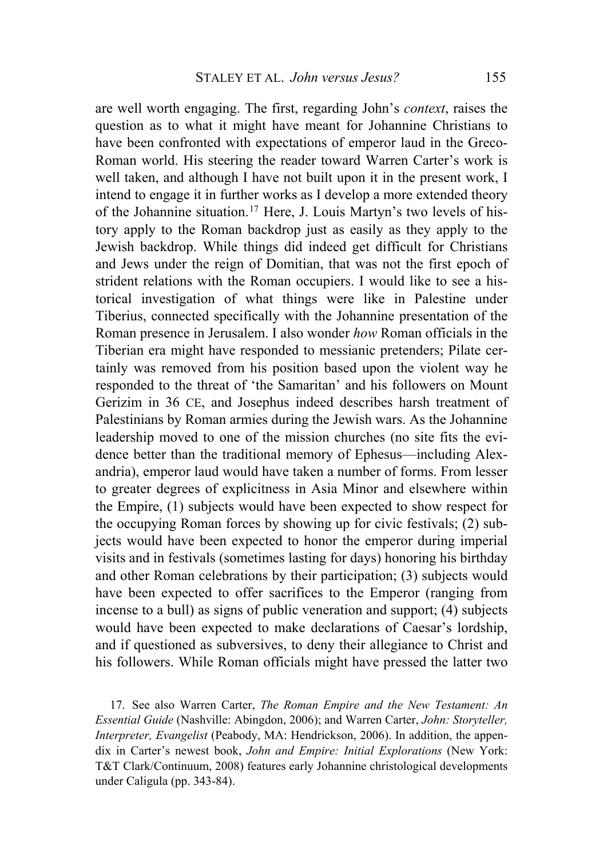are well worth engaging. The first, regarding John's *context*, raises the question as to what it might have meant for Johannine Christians to have been confronted with expectations of emperor laud in the Greco-Roman world. His steering the reader toward Warren Carter's work is well taken, and although I have not built upon it in the present work, I intend to engage it in further works as I develop a more extended theory of the Johannine situation.[17](#page-30-0) Here, J. Louis Martyn's two levels of history apply to the Roman backdrop just as easily as they apply to the Jewish backdrop. While things did indeed get difficult for Christians and Jews under the reign of Domitian, that was not the first epoch of strident relations with the Roman occupiers. I would like to see a historical investigation of what things were like in Palestine under Tiberius, connected specifically with the Johannine presentation of the Roman presence in Jerusalem. I also wonder *how* Roman officials in the Tiberian era might have responded to messianic pretenders; Pilate certainly was removed from his position based upon the violent way he responded to the threat of 'the Samaritan' and his followers on Mount Gerizim in 36 CE, and Josephus indeed describes harsh treatment of Palestinians by Roman armies during the Jewish wars. As the Johannine leadership moved to one of the mission churches (no site fits the evidence better than the traditional memory of Ephesus—including Alexandria), emperor laud would have taken a number of forms. From lesser to greater degrees of explicitness in Asia Minor and elsewhere within the Empire, (1) subjects would have been expected to show respect for the occupying Roman forces by showing up for civic festivals; (2) subjects would have been expected to honor the emperor during imperial visits and in festivals (sometimes lasting for days) honoring his birthday and other Roman celebrations by their participation; (3) subjects would have been expected to offer sacrifices to the Emperor (ranging from incense to a bull) as signs of public veneration and support; (4) subjects would have been expected to make declarations of Caesar's lordship, and if questioned as subversives, to deny their allegiance to Christ and his followers. While Roman officials might have pressed the latter two

<span id="page-30-0"></span>17. See also Warren Carter, *The Roman Empire and the New Testament: An Essential Guide* (Nashville: Abingdon, 2006); and Warren Carter, *John: Storyteller, Interpreter, Evangelist* (Peabody, MA: Hendrickson, 2006). In addition, the appendix in Carter's newest book, *John and Empire: Initial Explorations* (New York: T&T Clark/Continuum, 2008) features early Johannine christological developments under Caligula (pp. 343-84).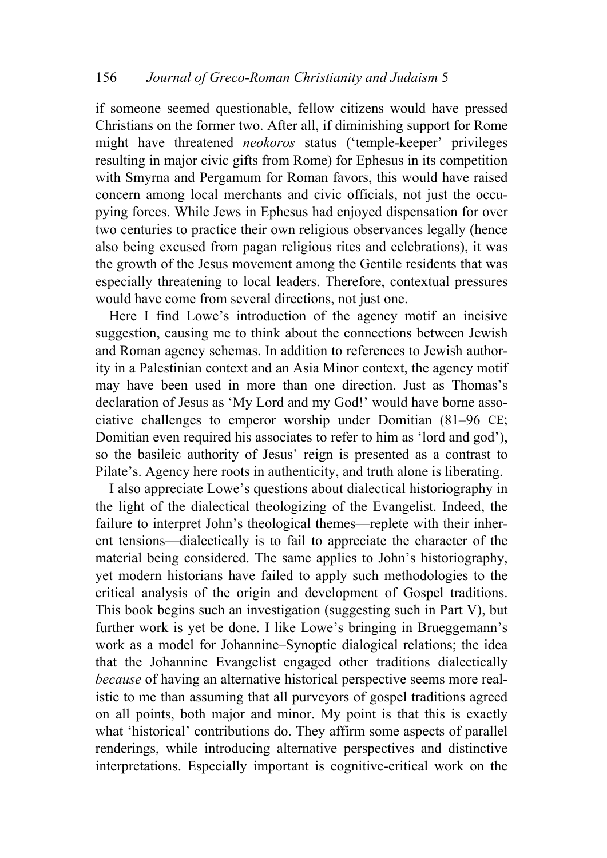if someone seemed questionable, fellow citizens would have pressed Christians on the former two. After all, if diminishing support for Rome might have threatened *neokoros* status ('temple-keeper' privileges resulting in major civic gifts from Rome) for Ephesus in its competition with Smyrna and Pergamum for Roman favors, this would have raised concern among local merchants and civic officials, not just the occupying forces. While Jews in Ephesus had enjoyed dispensation for over two centuries to practice their own religious observances legally (hence also being excused from pagan religious rites and celebrations), it was the growth of the Jesus movement among the Gentile residents that was especially threatening to local leaders. Therefore, contextual pressures would have come from several directions, not just one.

Here I find Lowe's introduction of the agency motif an incisive suggestion, causing me to think about the connections between Jewish and Roman agency schemas. In addition to references to Jewish authority in a Palestinian context and an Asia Minor context, the agency motif may have been used in more than one direction. Just as Thomas's declaration of Jesus as 'My Lord and my God!' would have borne associative challenges to emperor worship under Domitian (81–96 CE; Domitian even required his associates to refer to him as 'lord and god'), so the basileic authority of Jesus' reign is presented as a contrast to Pilate's. Agency here roots in authenticity, and truth alone is liberating.

I also appreciate Lowe's questions about dialectical historiography in the light of the dialectical theologizing of the Evangelist. Indeed, the failure to interpret John's theological themes—replete with their inherent tensions—dialectically is to fail to appreciate the character of the material being considered. The same applies to John's historiography, yet modern historians have failed to apply such methodologies to the critical analysis of the origin and development of Gospel traditions. This book begins such an investigation (suggesting such in Part V), but further work is yet be done. I like Lowe's bringing in Brueggemann's work as a model for Johannine–Synoptic dialogical relations; the idea that the Johannine Evangelist engaged other traditions dialectically *because* of having an alternative historical perspective seems more realistic to me than assuming that all purveyors of gospel traditions agreed on all points, both major and minor. My point is that this is exactly what 'historical' contributions do. They affirm some aspects of parallel renderings, while introducing alternative perspectives and distinctive interpretations. Especially important is cognitive-critical work on the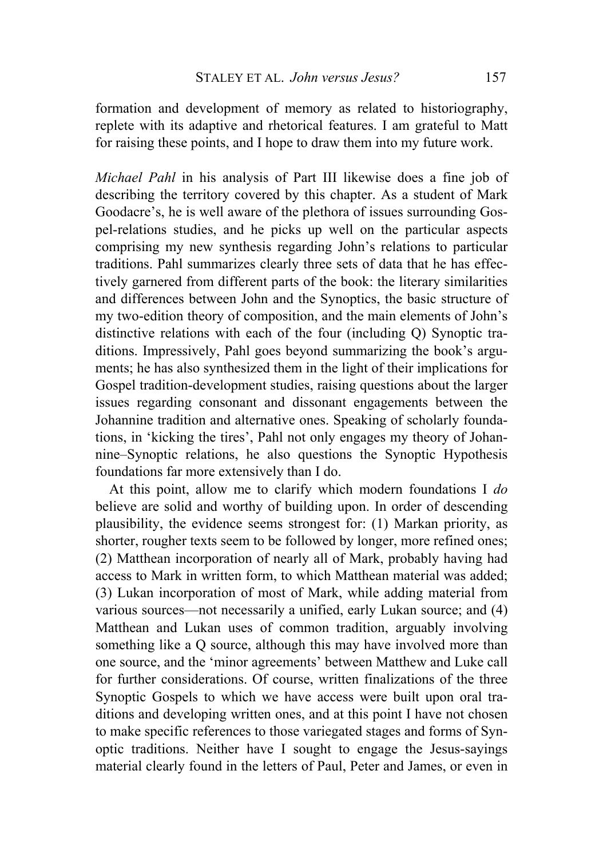formation and development of memory as related to historiography, replete with its adaptive and rhetorical features. I am grateful to Matt for raising these points, and I hope to draw them into my future work.

*Michael Pahl* in his analysis of Part III likewise does a fine job of describing the territory covered by this chapter. As a student of Mark Goodacre's, he is well aware of the plethora of issues surrounding Gospel-relations studies, and he picks up well on the particular aspects comprising my new synthesis regarding John's relations to particular traditions. Pahl summarizes clearly three sets of data that he has effectively garnered from different parts of the book: the literary similarities and differences between John and the Synoptics, the basic structure of my two-edition theory of composition, and the main elements of John's distinctive relations with each of the four (including Q) Synoptic traditions. Impressively, Pahl goes beyond summarizing the book's arguments; he has also synthesized them in the light of their implications for Gospel tradition-development studies, raising questions about the larger issues regarding consonant and dissonant engagements between the Johannine tradition and alternative ones. Speaking of scholarly foundations, in 'kicking the tires', Pahl not only engages my theory of Johannine–Synoptic relations, he also questions the Synoptic Hypothesis foundations far more extensively than I do.

At this point, allow me to clarify which modern foundations I *do* believe are solid and worthy of building upon. In order of descending plausibility, the evidence seems strongest for: (1) Markan priority, as shorter, rougher texts seem to be followed by longer, more refined ones; (2) Matthean incorporation of nearly all of Mark, probably having had access to Mark in written form, to which Matthean material was added; (3) Lukan incorporation of most of Mark, while adding material from various sources—not necessarily a unified, early Lukan source; and (4) Matthean and Lukan uses of common tradition, arguably involving something like a Q source, although this may have involved more than one source, and the 'minor agreements' between Matthew and Luke call for further considerations. Of course, written finalizations of the three Synoptic Gospels to which we have access were built upon oral traditions and developing written ones, and at this point I have not chosen to make specific references to those variegated stages and forms of Synoptic traditions. Neither have I sought to engage the Jesus-sayings material clearly found in the letters of Paul, Peter and James, or even in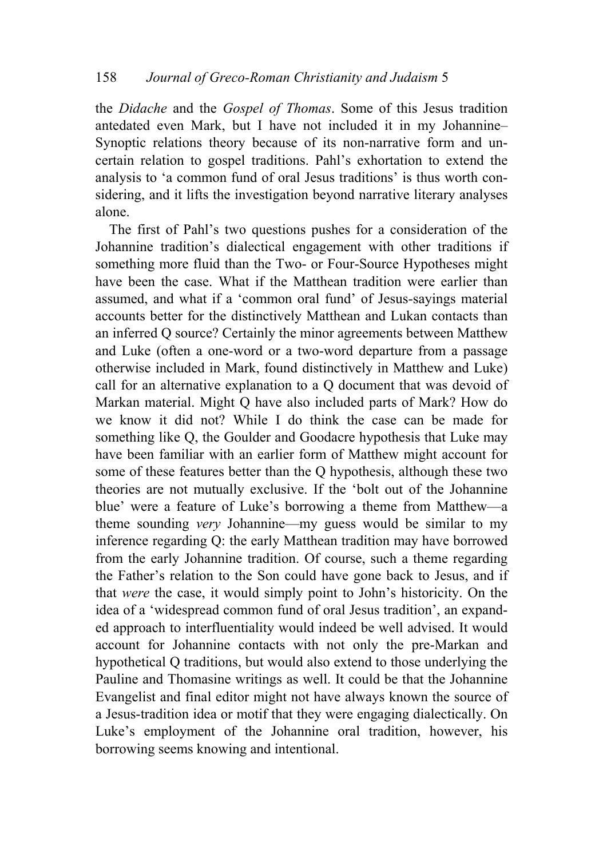the *Didache* and the *Gospel of Thomas*. Some of this Jesus tradition antedated even Mark, but I have not included it in my Johannine– Synoptic relations theory because of its non-narrative form and uncertain relation to gospel traditions. Pahl's exhortation to extend the analysis to 'a common fund of oral Jesus traditions' is thus worth considering, and it lifts the investigation beyond narrative literary analyses alone.

The first of Pahl's two questions pushes for a consideration of the Johannine tradition's dialectical engagement with other traditions if something more fluid than the Two- or Four-Source Hypotheses might have been the case. What if the Matthean tradition were earlier than assumed, and what if a 'common oral fund' of Jesus-sayings material accounts better for the distinctively Matthean and Lukan contacts than an inferred Q source? Certainly the minor agreements between Matthew and Luke (often a one-word or a two-word departure from a passage otherwise included in Mark, found distinctively in Matthew and Luke) call for an alternative explanation to a Q document that was devoid of Markan material. Might Q have also included parts of Mark? How do we know it did not? While I do think the case can be made for something like Q, the Goulder and Goodacre hypothesis that Luke may have been familiar with an earlier form of Matthew might account for some of these features better than the Q hypothesis, although these two theories are not mutually exclusive. If the 'bolt out of the Johannine blue' were a feature of Luke's borrowing a theme from Matthew—a theme sounding *very* Johannine—my guess would be similar to my inference regarding Q: the early Matthean tradition may have borrowed from the early Johannine tradition. Of course, such a theme regarding the Father's relation to the Son could have gone back to Jesus, and if that *were* the case, it would simply point to John's historicity. On the idea of a 'widespread common fund of oral Jesus tradition', an expanded approach to interfluentiality would indeed be well advised. It would account for Johannine contacts with not only the pre-Markan and hypothetical Q traditions, but would also extend to those underlying the Pauline and Thomasine writings as well. It could be that the Johannine Evangelist and final editor might not have always known the source of a Jesus-tradition idea or motif that they were engaging dialectically. On Luke's employment of the Johannine oral tradition, however, his borrowing seems knowing and intentional.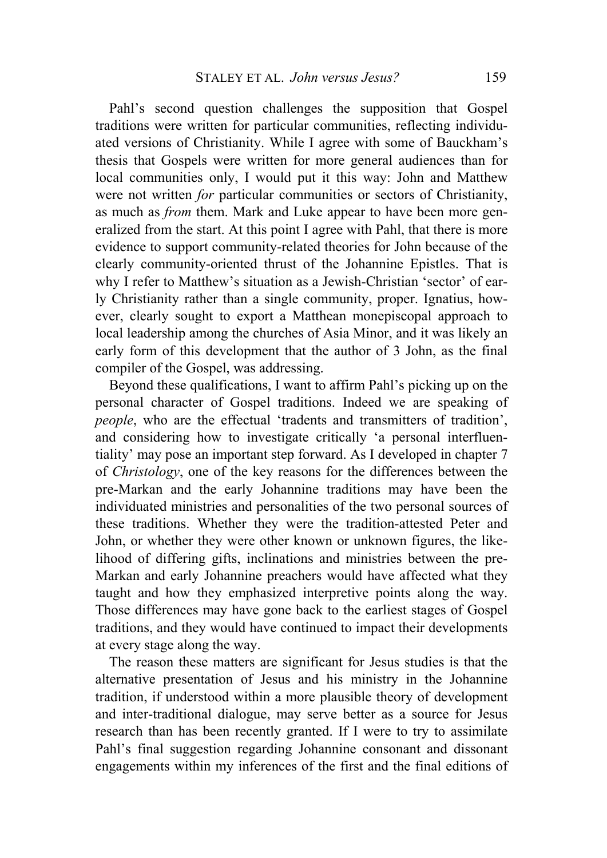Pahl's second question challenges the supposition that Gospel traditions were written for particular communities, reflecting individuated versions of Christianity. While I agree with some of Bauckham's thesis that Gospels were written for more general audiences than for local communities only, I would put it this way: John and Matthew were not written *for* particular communities or sectors of Christianity, as much as *from* them. Mark and Luke appear to have been more generalized from the start. At this point I agree with Pahl, that there is more evidence to support community-related theories for John because of the clearly community-oriented thrust of the Johannine Epistles. That is why I refer to Matthew's situation as a Jewish-Christian 'sector' of early Christianity rather than a single community, proper. Ignatius, however, clearly sought to export a Matthean monepiscopal approach to local leadership among the churches of Asia Minor, and it was likely an early form of this development that the author of 3 John, as the final compiler of the Gospel, was addressing.

Beyond these qualifications, I want to affirm Pahl's picking up on the personal character of Gospel traditions. Indeed we are speaking of *people*, who are the effectual 'tradents and transmitters of tradition', and considering how to investigate critically 'a personal interfluentiality' may pose an important step forward. As I developed in chapter 7 of *Christology*, one of the key reasons for the differences between the pre-Markan and the early Johannine traditions may have been the individuated ministries and personalities of the two personal sources of these traditions. Whether they were the tradition-attested Peter and John, or whether they were other known or unknown figures, the likelihood of differing gifts, inclinations and ministries between the pre-Markan and early Johannine preachers would have affected what they taught and how they emphasized interpretive points along the way. Those differences may have gone back to the earliest stages of Gospel traditions, and they would have continued to impact their developments at every stage along the way.

The reason these matters are significant for Jesus studies is that the alternative presentation of Jesus and his ministry in the Johannine tradition, if understood within a more plausible theory of development and inter-traditional dialogue, may serve better as a source for Jesus research than has been recently granted. If I were to try to assimilate Pahl's final suggestion regarding Johannine consonant and dissonant engagements within my inferences of the first and the final editions of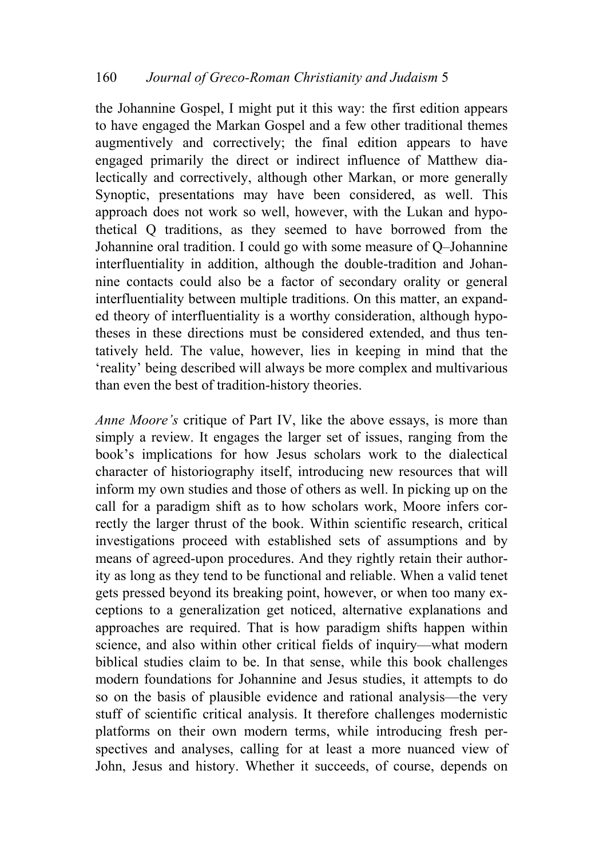the Johannine Gospel, I might put it this way: the first edition appears to have engaged the Markan Gospel and a few other traditional themes augmentively and correctively; the final edition appears to have engaged primarily the direct or indirect influence of Matthew dialectically and correctively, although other Markan, or more generally Synoptic, presentations may have been considered, as well. This approach does not work so well, however, with the Lukan and hypothetical Q traditions, as they seemed to have borrowed from the Johannine oral tradition. I could go with some measure of Q–Johannine interfluentiality in addition, although the double-tradition and Johannine contacts could also be a factor of secondary orality or general interfluentiality between multiple traditions. On this matter, an expanded theory of interfluentiality is a worthy consideration, although hypotheses in these directions must be considered extended, and thus tentatively held. The value, however, lies in keeping in mind that the 'reality' being described will always be more complex and multivarious than even the best of tradition-history theories.

*Anne Moore's* critique of Part IV, like the above essays, is more than simply a review. It engages the larger set of issues, ranging from the book's implications for how Jesus scholars work to the dialectical character of historiography itself, introducing new resources that will inform my own studies and those of others as well. In picking up on the call for a paradigm shift as to how scholars work, Moore infers correctly the larger thrust of the book. Within scientific research, critical investigations proceed with established sets of assumptions and by means of agreed-upon procedures. And they rightly retain their authority as long as they tend to be functional and reliable. When a valid tenet gets pressed beyond its breaking point, however, or when too many exceptions to a generalization get noticed, alternative explanations and approaches are required. That is how paradigm shifts happen within science, and also within other critical fields of inquiry—what modern biblical studies claim to be. In that sense, while this book challenges modern foundations for Johannine and Jesus studies, it attempts to do so on the basis of plausible evidence and rational analysis—the very stuff of scientific critical analysis. It therefore challenges modernistic platforms on their own modern terms, while introducing fresh perspectives and analyses, calling for at least a more nuanced view of John, Jesus and history. Whether it succeeds, of course, depends on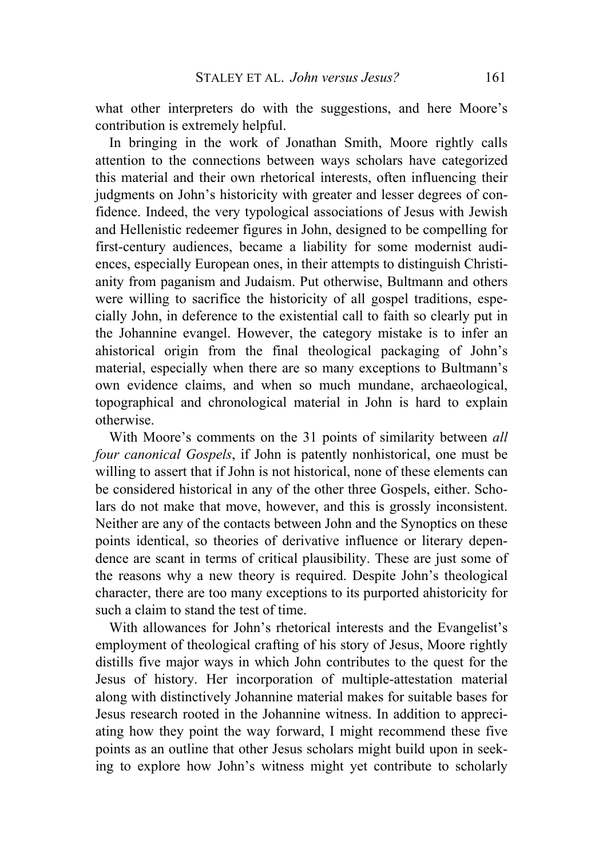what other interpreters do with the suggestions, and here Moore's contribution is extremely helpful.

In bringing in the work of Jonathan Smith, Moore rightly calls attention to the connections between ways scholars have categorized this material and their own rhetorical interests, often influencing their judgments on John's historicity with greater and lesser degrees of confidence. Indeed, the very typological associations of Jesus with Jewish and Hellenistic redeemer figures in John, designed to be compelling for first-century audiences, became a liability for some modernist audiences, especially European ones, in their attempts to distinguish Christianity from paganism and Judaism. Put otherwise, Bultmann and others were willing to sacrifice the historicity of all gospel traditions, especially John, in deference to the existential call to faith so clearly put in the Johannine evangel. However, the category mistake is to infer an ahistorical origin from the final theological packaging of John's material, especially when there are so many exceptions to Bultmann's own evidence claims, and when so much mundane, archaeological, topographical and chronological material in John is hard to explain otherwise.

With Moore's comments on the 31 points of similarity between *all four canonical Gospels*, if John is patently nonhistorical, one must be willing to assert that if John is not historical, none of these elements can be considered historical in any of the other three Gospels, either. Scholars do not make that move, however, and this is grossly inconsistent. Neither are any of the contacts between John and the Synoptics on these points identical, so theories of derivative influence or literary dependence are scant in terms of critical plausibility. These are just some of the reasons why a new theory is required. Despite John's theological character, there are too many exceptions to its purported ahistoricity for such a claim to stand the test of time.

With allowances for John's rhetorical interests and the Evangelist's employment of theological crafting of his story of Jesus, Moore rightly distills five major ways in which John contributes to the quest for the Jesus of history. Her incorporation of multiple-attestation material along with distinctively Johannine material makes for suitable bases for Jesus research rooted in the Johannine witness. In addition to appreciating how they point the way forward, I might recommend these five points as an outline that other Jesus scholars might build upon in seeking to explore how John's witness might yet contribute to scholarly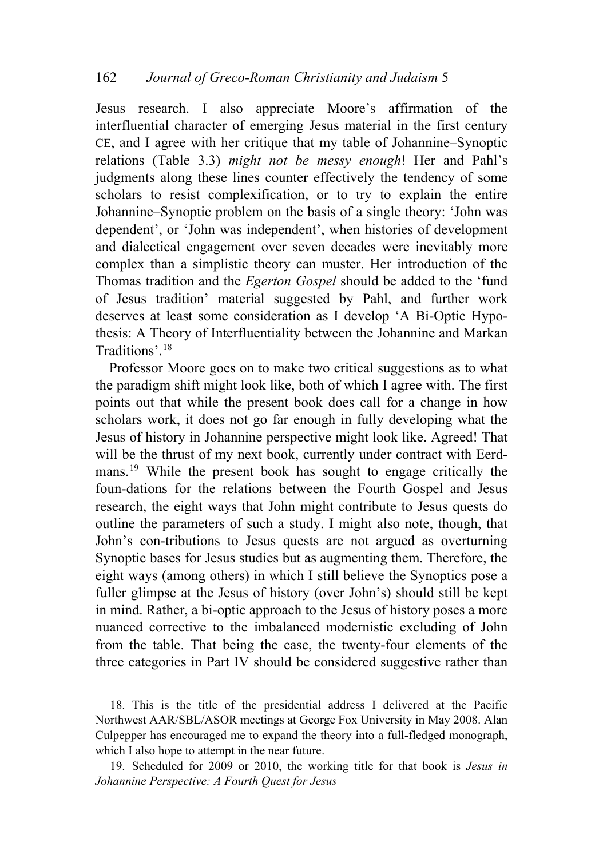Jesus research. I also appreciate Moore's affirmation of the interfluential character of emerging Jesus material in the first century CE, and I agree with her critique that my table of Johannine–Synoptic relations (Table 3.3) *might not be messy enough*! Her and Pahl's judgments along these lines counter effectively the tendency of some scholars to resist complexification, or to try to explain the entire Johannine–Synoptic problem on the basis of a single theory: 'John was dependent', or 'John was independent', when histories of development and dialectical engagement over seven decades were inevitably more complex than a simplistic theory can muster. Her introduction of the Thomas tradition and the *Egerton Gospel* should be added to the 'fund of Jesus tradition' material suggested by Pahl, and further work deserves at least some consideration as I develop 'A Bi-Optic Hypothesis: A Theory of Interfluentiality between the Johannine and Markan Traditions'.[18](#page-37-0)

Professor Moore goes on to make two critical suggestions as to what the paradigm shift might look like, both of which I agree with. The first points out that while the present book does call for a change in how scholars work, it does not go far enough in fully developing what the Jesus of history in Johannine perspective might look like. Agreed! That will be the thrust of my next book, currently under contract with Eerdmans.[19](#page-37-1) While the present book has sought to engage critically the foun-dations for the relations between the Fourth Gospel and Jesus research, the eight ways that John might contribute to Jesus quests do outline the parameters of such a study. I might also note, though, that John's con-tributions to Jesus quests are not argued as overturning Synoptic bases for Jesus studies but as augmenting them. Therefore, the eight ways (among others) in which I still believe the Synoptics pose a fuller glimpse at the Jesus of history (over John's) should still be kept in mind. Rather, a bi-optic approach to the Jesus of history poses a more nuanced corrective to the imbalanced modernistic excluding of John from the table. That being the case, the twenty-four elements of the three categories in Part IV should be considered suggestive rather than

<span id="page-37-0"></span>18. This is the title of the presidential address I delivered at the Pacific Northwest AAR/SBL/ASOR meetings at George Fox University in May 2008. Alan Culpepper has encouraged me to expand the theory into a full-fledged monograph, which I also hope to attempt in the near future.

<span id="page-37-1"></span>19. Scheduled for 2009 or 2010, the working title for that book is *Jesus in Johannine Perspective: A Fourth Quest for Jesus*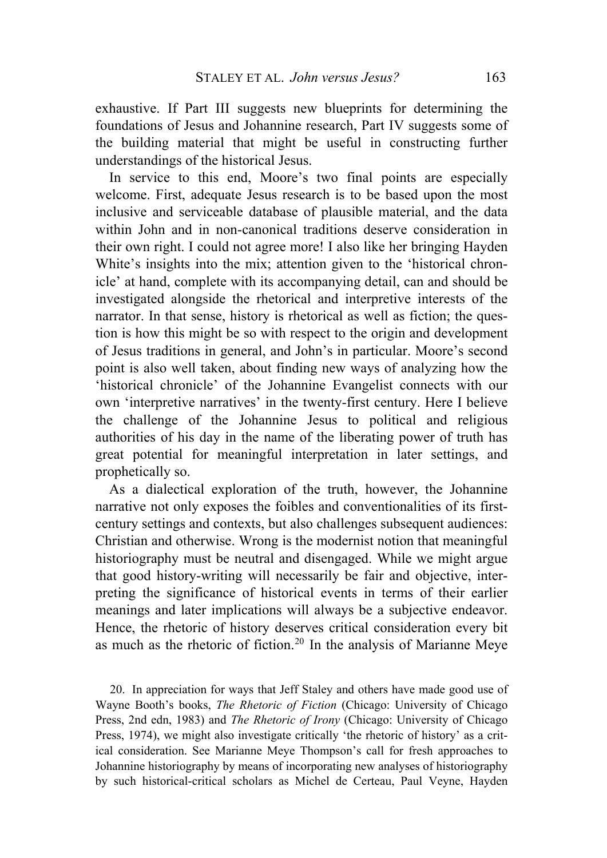exhaustive. If Part III suggests new blueprints for determining the foundations of Jesus and Johannine research, Part IV suggests some of the building material that might be useful in constructing further understandings of the historical Jesus.

In service to this end, Moore's two final points are especially welcome. First, adequate Jesus research is to be based upon the most inclusive and serviceable database of plausible material, and the data within John and in non-canonical traditions deserve consideration in their own right. I could not agree more! I also like her bringing Hayden White's insights into the mix; attention given to the 'historical chronicle' at hand, complete with its accompanying detail, can and should be investigated alongside the rhetorical and interpretive interests of the narrator. In that sense, history is rhetorical as well as fiction; the question is how this might be so with respect to the origin and development of Jesus traditions in general, and John's in particular. Moore's second point is also well taken, about finding new ways of analyzing how the 'historical chronicle' of the Johannine Evangelist connects with our own 'interpretive narratives' in the twenty-first century. Here I believe the challenge of the Johannine Jesus to political and religious authorities of his day in the name of the liberating power of truth has great potential for meaningful interpretation in later settings, and prophetically so.

As a dialectical exploration of the truth, however, the Johannine narrative not only exposes the foibles and conventionalities of its firstcentury settings and contexts, but also challenges subsequent audiences: Christian and otherwise. Wrong is the modernist notion that meaningful historiography must be neutral and disengaged. While we might argue that good history-writing will necessarily be fair and objective, interpreting the significance of historical events in terms of their earlier meanings and later implications will always be a subjective endeavor. Hence, the rhetoric of history deserves critical consideration every bit as much as the rhetoric of fiction.[20](#page-38-0) In the analysis of Marianne Meye

<span id="page-38-0"></span>20. In appreciation for ways that Jeff Staley and others have made good use of Wayne Booth's books, *The Rhetoric of Fiction* (Chicago: University of Chicago Press, 2nd edn, 1983) and *The Rhetoric of Irony* (Chicago: University of Chicago Press, 1974), we might also investigate critically 'the rhetoric of history' as a critical consideration. See Marianne Meye Thompson's call for fresh approaches to Johannine historiography by means of incorporating new analyses of historiography by such historical-critical scholars as Michel de Certeau, Paul Veyne, Hayden